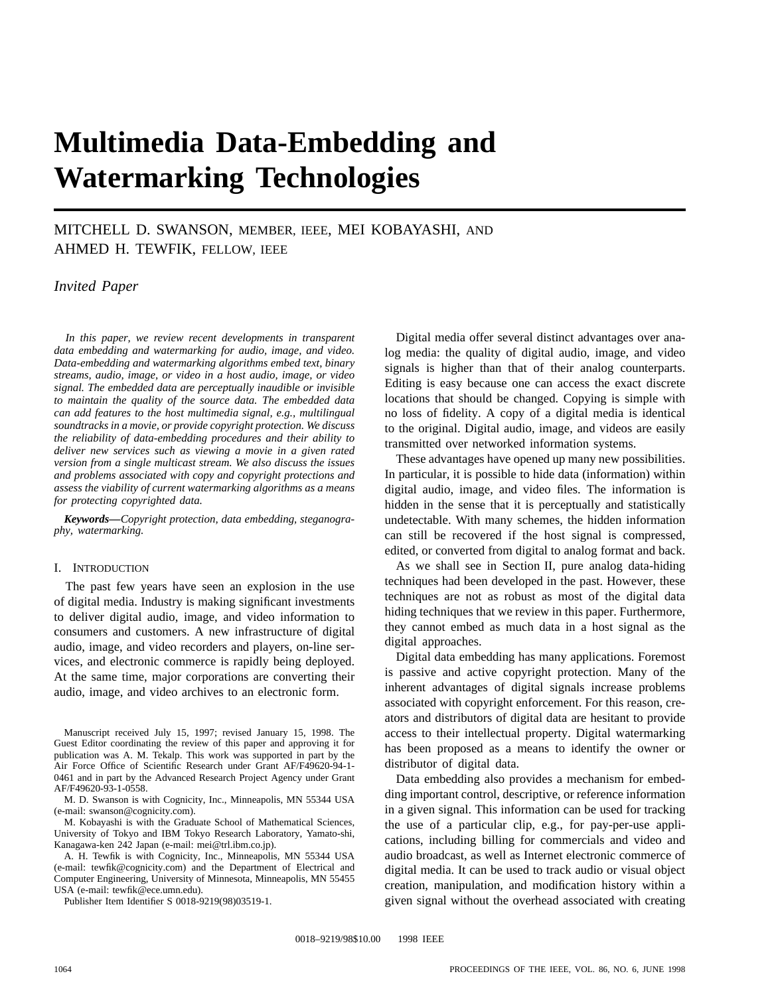# **Multimedia Data-Embedding and Watermarking Technologies**

MITCHELL D. SWANSON, MEMBER, IEEE, MEI KOBAYASHI, AND AHMED H. TEWFIK, FELLOW, IEEE

# *Invited Paper*

*In this paper, we review recent developments in transparent data embedding and watermarking for audio, image, and video. Data-embedding and watermarking algorithms embed text, binary streams, audio, image, or video in a host audio, image, or video signal. The embedded data are perceptually inaudible or invisible to maintain the quality of the source data. The embedded data can add features to the host multimedia signal, e.g., multilingual soundtracks in a movie, or provide copyright protection. We discuss the reliability of data-embedding procedures and their ability to deliver new services such as viewing a movie in a given rated version from a single multicast stream. We also discuss the issues and problems associated with copy and copyright protections and assess the viability of current watermarking algorithms as a means for protecting copyrighted data.*

*Keywords—Copyright protection, data embedding, steganography, watermarking.*

#### I. INTRODUCTION

The past few years have seen an explosion in the use of digital media. Industry is making significant investments to deliver digital audio, image, and video information to consumers and customers. A new infrastructure of digital audio, image, and video recorders and players, on-line services, and electronic commerce is rapidly being deployed. At the same time, major corporations are converting their audio, image, and video archives to an electronic form.

Manuscript received July 15, 1997; revised January 15, 1998. The Guest Editor coordinating the review of this paper and approving it for publication was A. M. Tekalp. This work was supported in part by the Air Force Office of Scientific Research under Grant AF/F49620-94-1- 0461 and in part by the Advanced Research Project Agency under Grant AF/F49620-93-1-0558.

M. D. Swanson is with Cognicity, Inc., Minneapolis, MN 55344 USA (e-mail: swanson@cognicity.com).

M. Kobayashi is with the Graduate School of Mathematical Sciences, University of Tokyo and IBM Tokyo Research Laboratory, Yamato-shi, Kanagawa-ken 242 Japan (e-mail: mei@trl.ibm.co.jp).

A. H. Tewfik is with Cognicity, Inc., Minneapolis, MN 55344 USA (e-mail: tewfik@cognicity.com) and the Department of Electrical and Computer Engineering, University of Minnesota, Minneapolis, MN 55455 USA (e-mail: tewfik@ece.umn.edu).

Publisher Item Identifier S 0018-9219(98)03519-1.

Digital media offer several distinct advantages over analog media: the quality of digital audio, image, and video signals is higher than that of their analog counterparts. Editing is easy because one can access the exact discrete locations that should be changed. Copying is simple with no loss of fidelity. A copy of a digital media is identical to the original. Digital audio, image, and videos are easily transmitted over networked information systems.

These advantages have opened up many new possibilities. In particular, it is possible to hide data (information) within digital audio, image, and video files. The information is hidden in the sense that it is perceptually and statistically undetectable. With many schemes, the hidden information can still be recovered if the host signal is compressed, edited, or converted from digital to analog format and back.

As we shall see in Section II, pure analog data-hiding techniques had been developed in the past. However, these techniques are not as robust as most of the digital data hiding techniques that we review in this paper. Furthermore, they cannot embed as much data in a host signal as the digital approaches.

Digital data embedding has many applications. Foremost is passive and active copyright protection. Many of the inherent advantages of digital signals increase problems associated with copyright enforcement. For this reason, creators and distributors of digital data are hesitant to provide access to their intellectual property. Digital watermarking has been proposed as a means to identify the owner or distributor of digital data.

Data embedding also provides a mechanism for embedding important control, descriptive, or reference information in a given signal. This information can be used for tracking the use of a particular clip, e.g., for pay-per-use applications, including billing for commercials and video and audio broadcast, as well as Internet electronic commerce of digital media. It can be used to track audio or visual object creation, manipulation, and modification history within a given signal without the overhead associated with creating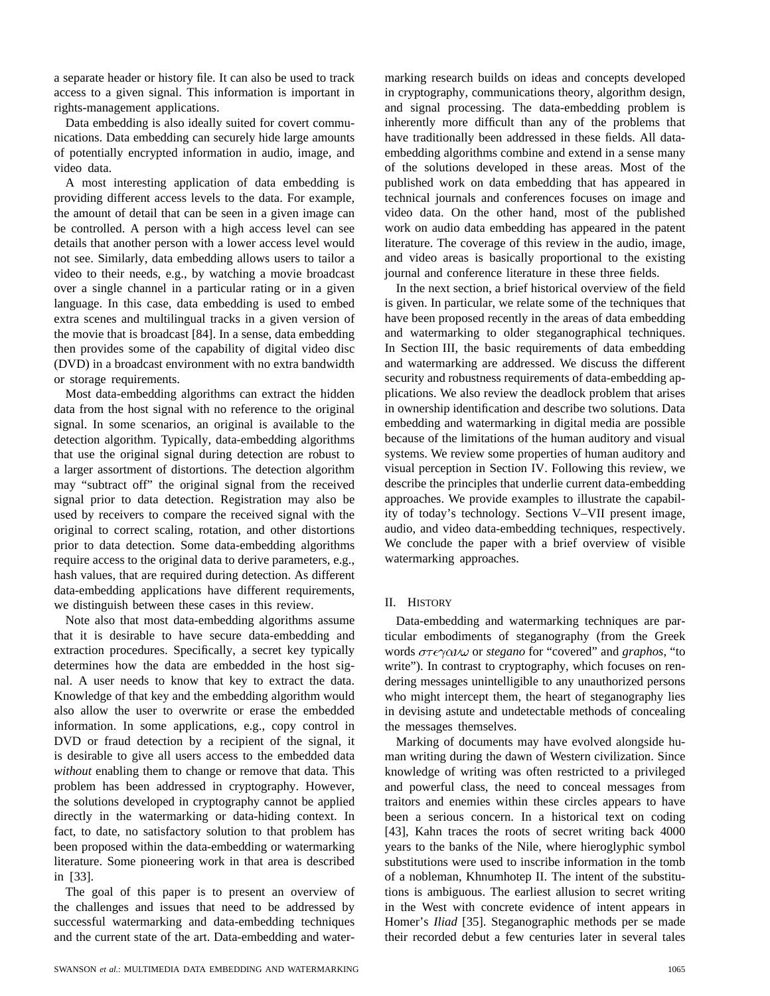a separate header or history file. It can also be used to track access to a given signal. This information is important in rights-management applications.

Data embedding is also ideally suited for covert communications. Data embedding can securely hide large amounts of potentially encrypted information in audio, image, and video data.

A most interesting application of data embedding is providing different access levels to the data. For example, the amount of detail that can be seen in a given image can be controlled. A person with a high access level can see details that another person with a lower access level would not see. Similarly, data embedding allows users to tailor a video to their needs, e.g., by watching a movie broadcast over a single channel in a particular rating or in a given language. In this case, data embedding is used to embed extra scenes and multilingual tracks in a given version of the movie that is broadcast [84]. In a sense, data embedding then provides some of the capability of digital video disc (DVD) in a broadcast environment with no extra bandwidth or storage requirements.

Most data-embedding algorithms can extract the hidden data from the host signal with no reference to the original signal. In some scenarios, an original is available to the detection algorithm. Typically, data-embedding algorithms that use the original signal during detection are robust to a larger assortment of distortions. The detection algorithm may "subtract off" the original signal from the received signal prior to data detection. Registration may also be used by receivers to compare the received signal with the original to correct scaling, rotation, and other distortions prior to data detection. Some data-embedding algorithms require access to the original data to derive parameters, e.g., hash values, that are required during detection. As different data-embedding applications have different requirements, we distinguish between these cases in this review.

Note also that most data-embedding algorithms assume that it is desirable to have secure data-embedding and extraction procedures. Specifically, a secret key typically determines how the data are embedded in the host signal. A user needs to know that key to extract the data. Knowledge of that key and the embedding algorithm would also allow the user to overwrite or erase the embedded information. In some applications, e.g., copy control in DVD or fraud detection by a recipient of the signal, it is desirable to give all users access to the embedded data *without* enabling them to change or remove that data. This problem has been addressed in cryptography. However, the solutions developed in cryptography cannot be applied directly in the watermarking or data-hiding context. In fact, to date, no satisfactory solution to that problem has been proposed within the data-embedding or watermarking literature. Some pioneering work in that area is described in [33].

The goal of this paper is to present an overview of the challenges and issues that need to be addressed by successful watermarking and data-embedding techniques and the current state of the art. Data-embedding and water-

marking research builds on ideas and concepts developed in cryptography, communications theory, algorithm design, and signal processing. The data-embedding problem is inherently more difficult than any of the problems that have traditionally been addressed in these fields. All dataembedding algorithms combine and extend in a sense many of the solutions developed in these areas. Most of the published work on data embedding that has appeared in technical journals and conferences focuses on image and video data. On the other hand, most of the published work on audio data embedding has appeared in the patent literature. The coverage of this review in the audio, image, and video areas is basically proportional to the existing journal and conference literature in these three fields.

In the next section, a brief historical overview of the field is given. In particular, we relate some of the techniques that have been proposed recently in the areas of data embedding and watermarking to older steganographical techniques. In Section III, the basic requirements of data embedding and watermarking are addressed. We discuss the different security and robustness requirements of data-embedding applications. We also review the deadlock problem that arises in ownership identification and describe two solutions. Data embedding and watermarking in digital media are possible because of the limitations of the human auditory and visual systems. We review some properties of human auditory and visual perception in Section IV. Following this review, we describe the principles that underlie current data-embedding approaches. We provide examples to illustrate the capability of today's technology. Sections V–VII present image, audio, and video data-embedding techniques, respectively. We conclude the paper with a brief overview of visible watermarking approaches.

# II. HISTORY

Data-embedding and watermarking techniques are particular embodiments of steganography (from the Greek words or *stegano* for "covered" and *graphos*, "to write"). In contrast to cryptography, which focuses on rendering messages unintelligible to any unauthorized persons who might intercept them, the heart of steganography lies in devising astute and undetectable methods of concealing the messages themselves.

Marking of documents may have evolved alongside human writing during the dawn of Western civilization. Since knowledge of writing was often restricted to a privileged and powerful class, the need to conceal messages from traitors and enemies within these circles appears to have been a serious concern. In a historical text on coding [43], Kahn traces the roots of secret writing back 4000 years to the banks of the Nile, where hieroglyphic symbol substitutions were used to inscribe information in the tomb of a nobleman, Khnumhotep II. The intent of the substitutions is ambiguous. The earliest allusion to secret writing in the West with concrete evidence of intent appears in Homer's *Iliad* [35]. Steganographic methods per se made their recorded debut a few centuries later in several tales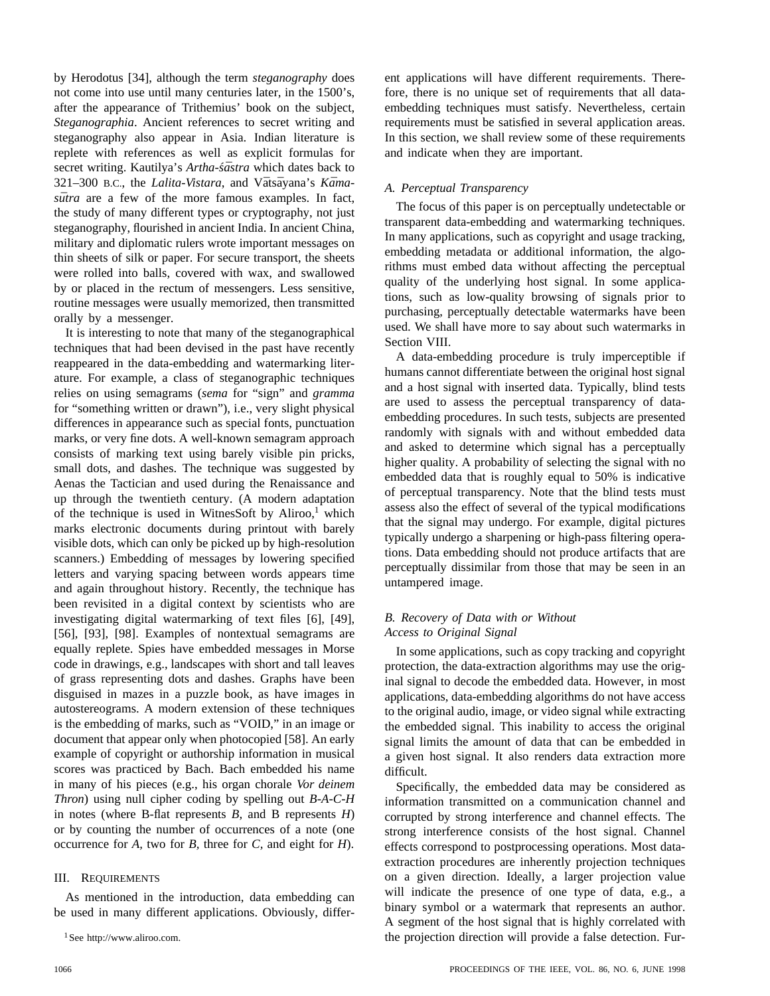by Herodotus [34], although the term *steganography* does not come into use until many centuries later, in the 1500's, after the appearance of Trithemius' book on the subject, *Steganographia*. Ancient references to secret writing and steganography also appear in Asia. Indian literature is replete with references as well as explicit formulas for secret writing. Kautilya's *Artha-śāstra* which dates back to 321–300 B.C., the *Lalita-Vistara*, and Vātsāyana's *Kāmasūtra* are a few of the more famous examples. In fact, the study of many different types or cryptography, not just steganography, flourished in ancient India. In ancient China, military and diplomatic rulers wrote important messages on thin sheets of silk or paper. For secure transport, the sheets were rolled into balls, covered with wax, and swallowed by or placed in the rectum of messengers. Less sensitive, routine messages were usually memorized, then transmitted orally by a messenger.

It is interesting to note that many of the steganographical techniques that had been devised in the past have recently reappeared in the data-embedding and watermarking literature. For example, a class of steganographic techniques relies on using semagrams (*sema* for "sign" and *gramma* for "something written or drawn"), i.e., very slight physical differences in appearance such as special fonts, punctuation marks, or very fine dots. A well-known semagram approach consists of marking text using barely visible pin pricks, small dots, and dashes. The technique was suggested by Aenas the Tactician and used during the Renaissance and up through the twentieth century. (A modern adaptation of the technique is used in WitnesSoft by Aliroo, $<sup>1</sup>$  which</sup> marks electronic documents during printout with barely visible dots, which can only be picked up by high-resolution scanners.) Embedding of messages by lowering specified letters and varying spacing between words appears time and again throughout history. Recently, the technique has been revisited in a digital context by scientists who are investigating digital watermarking of text files [6], [49], [56], [93], [98]. Examples of nontextual semagrams are equally replete. Spies have embedded messages in Morse code in drawings, e.g., landscapes with short and tall leaves of grass representing dots and dashes. Graphs have been disguised in mazes in a puzzle book, as have images in autostereograms. A modern extension of these techniques is the embedding of marks, such as "VOID," in an image or document that appear only when photocopied [58]. An early example of copyright or authorship information in musical scores was practiced by Bach. Bach embedded his name in many of his pieces (e.g., his organ chorale *Vor deinem Thron*) using null cipher coding by spelling out *B-A-C-H* in notes (where B-flat represents *B,* and B represents *H*) or by counting the number of occurrences of a note (one occurrence for *A,* two for *B,* three for *C,* and eight for *H*).

#### III. REQUIREMENTS

As mentioned in the introduction, data embedding can be used in many different applications. Obviously, different applications will have different requirements. Therefore, there is no unique set of requirements that all dataembedding techniques must satisfy. Nevertheless, certain requirements must be satisfied in several application areas. In this section, we shall review some of these requirements and indicate when they are important.

# *A. Perceptual Transparency*

The focus of this paper is on perceptually undetectable or transparent data-embedding and watermarking techniques. In many applications, such as copyright and usage tracking, embedding metadata or additional information, the algorithms must embed data without affecting the perceptual quality of the underlying host signal. In some applications, such as low-quality browsing of signals prior to purchasing, perceptually detectable watermarks have been used. We shall have more to say about such watermarks in Section VIII.

A data-embedding procedure is truly imperceptible if humans cannot differentiate between the original host signal and a host signal with inserted data. Typically, blind tests are used to assess the perceptual transparency of dataembedding procedures. In such tests, subjects are presented randomly with signals with and without embedded data and asked to determine which signal has a perceptually higher quality. A probability of selecting the signal with no embedded data that is roughly equal to 50% is indicative of perceptual transparency. Note that the blind tests must assess also the effect of several of the typical modifications that the signal may undergo. For example, digital pictures typically undergo a sharpening or high-pass filtering operations. Data embedding should not produce artifacts that are perceptually dissimilar from those that may be seen in an untampered image.

# *B. Recovery of Data with or Without Access to Original Signal*

In some applications, such as copy tracking and copyright protection, the data-extraction algorithms may use the original signal to decode the embedded data. However, in most applications, data-embedding algorithms do not have access to the original audio, image, or video signal while extracting the embedded signal. This inability to access the original signal limits the amount of data that can be embedded in a given host signal. It also renders data extraction more difficult.

Specifically, the embedded data may be considered as information transmitted on a communication channel and corrupted by strong interference and channel effects. The strong interference consists of the host signal. Channel effects correspond to postprocessing operations. Most dataextraction procedures are inherently projection techniques on a given direction. Ideally, a larger projection value will indicate the presence of one type of data, e.g., a binary symbol or a watermark that represents an author. A segment of the host signal that is highly correlated with the projection direction will provide a false detection. Fur-

<sup>&</sup>lt;sup>1</sup>See http://www.aliroo.com.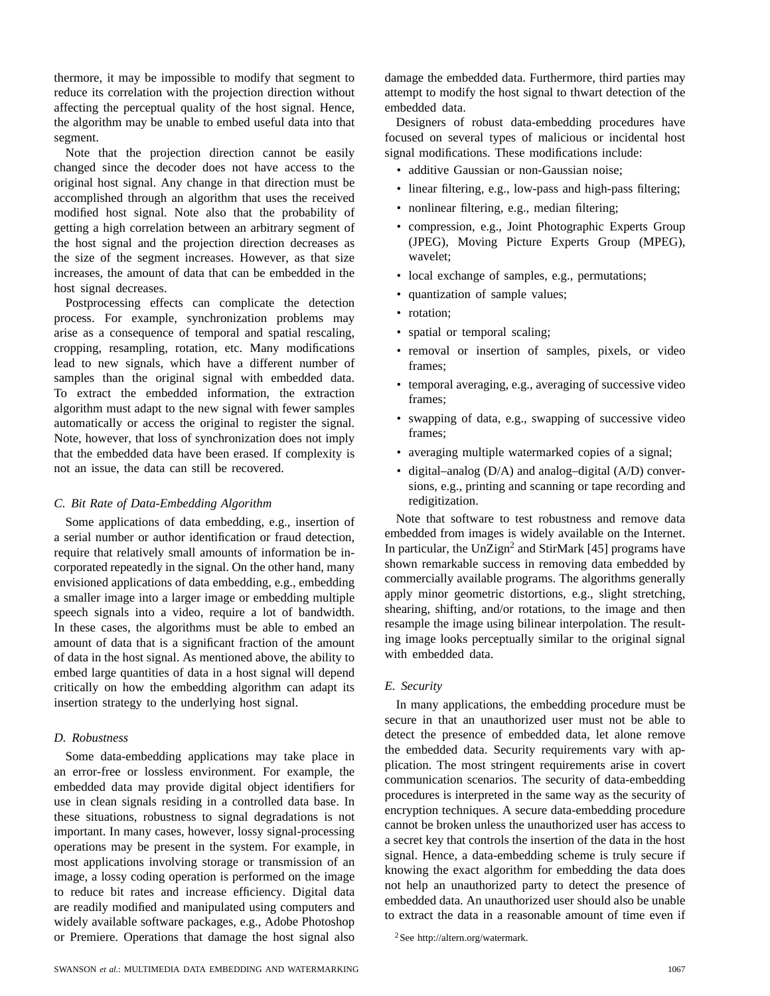thermore, it may be impossible to modify that segment to reduce its correlation with the projection direction without affecting the perceptual quality of the host signal. Hence, the algorithm may be unable to embed useful data into that segment.

Note that the projection direction cannot be easily changed since the decoder does not have access to the original host signal. Any change in that direction must be accomplished through an algorithm that uses the received modified host signal. Note also that the probability of getting a high correlation between an arbitrary segment of the host signal and the projection direction decreases as the size of the segment increases. However, as that size increases, the amount of data that can be embedded in the host signal decreases.

Postprocessing effects can complicate the detection process. For example, synchronization problems may arise as a consequence of temporal and spatial rescaling, cropping, resampling, rotation, etc. Many modifications lead to new signals, which have a different number of samples than the original signal with embedded data. To extract the embedded information, the extraction algorithm must adapt to the new signal with fewer samples automatically or access the original to register the signal. Note, however, that loss of synchronization does not imply that the embedded data have been erased. If complexity is not an issue, the data can still be recovered.

#### *C. Bit Rate of Data-Embedding Algorithm*

Some applications of data embedding, e.g., insertion of a serial number or author identification or fraud detection, require that relatively small amounts of information be incorporated repeatedly in the signal. On the other hand, many envisioned applications of data embedding, e.g., embedding a smaller image into a larger image or embedding multiple speech signals into a video, require a lot of bandwidth. In these cases, the algorithms must be able to embed an amount of data that is a significant fraction of the amount of data in the host signal. As mentioned above, the ability to embed large quantities of data in a host signal will depend critically on how the embedding algorithm can adapt its insertion strategy to the underlying host signal.

# *D. Robustness*

Some data-embedding applications may take place in an error-free or lossless environment. For example, the embedded data may provide digital object identifiers for use in clean signals residing in a controlled data base. In these situations, robustness to signal degradations is not important. In many cases, however, lossy signal-processing operations may be present in the system. For example, in most applications involving storage or transmission of an image, a lossy coding operation is performed on the image to reduce bit rates and increase efficiency. Digital data are readily modified and manipulated using computers and widely available software packages, e.g., Adobe Photoshop or Premiere. Operations that damage the host signal also damage the embedded data. Furthermore, third parties may attempt to modify the host signal to thwart detection of the embedded data.

Designers of robust data-embedding procedures have focused on several types of malicious or incidental host signal modifications. These modifications include:

- additive Gaussian or non-Gaussian noise:
- linear filtering, e.g., low-pass and high-pass filtering;
- nonlinear filtering, e.g., median filtering;
- compression, e.g., Joint Photographic Experts Group (JPEG), Moving Picture Experts Group (MPEG), wavelet;
- local exchange of samples, e.g., permutations;
- quantization of sample values;
- rotation;
- spatial or temporal scaling;
- removal or insertion of samples, pixels, or video frames;
- temporal averaging, e.g., averaging of successive video frames;
- swapping of data, e.g., swapping of successive video frames;
- averaging multiple watermarked copies of a signal;
- digital–analog (D/A) and analog–digital (A/D) conversions, e.g., printing and scanning or tape recording and redigitization.

Note that software to test robustness and remove data embedded from images is widely available on the Internet. In particular, the  $UnZign^2$  and StirMark [45] programs have shown remarkable success in removing data embedded by commercially available programs. The algorithms generally apply minor geometric distortions, e.g., slight stretching, shearing, shifting, and/or rotations, to the image and then resample the image using bilinear interpolation. The resulting image looks perceptually similar to the original signal with embedded data.

# *E. Security*

In many applications, the embedding procedure must be secure in that an unauthorized user must not be able to detect the presence of embedded data, let alone remove the embedded data. Security requirements vary with application. The most stringent requirements arise in covert communication scenarios. The security of data-embedding procedures is interpreted in the same way as the security of encryption techniques. A secure data-embedding procedure cannot be broken unless the unauthorized user has access to a secret key that controls the insertion of the data in the host signal. Hence, a data-embedding scheme is truly secure if knowing the exact algorithm for embedding the data does not help an unauthorized party to detect the presence of embedded data. An unauthorized user should also be unable to extract the data in a reasonable amount of time even if

 $2$ See http://altern.org/watermark.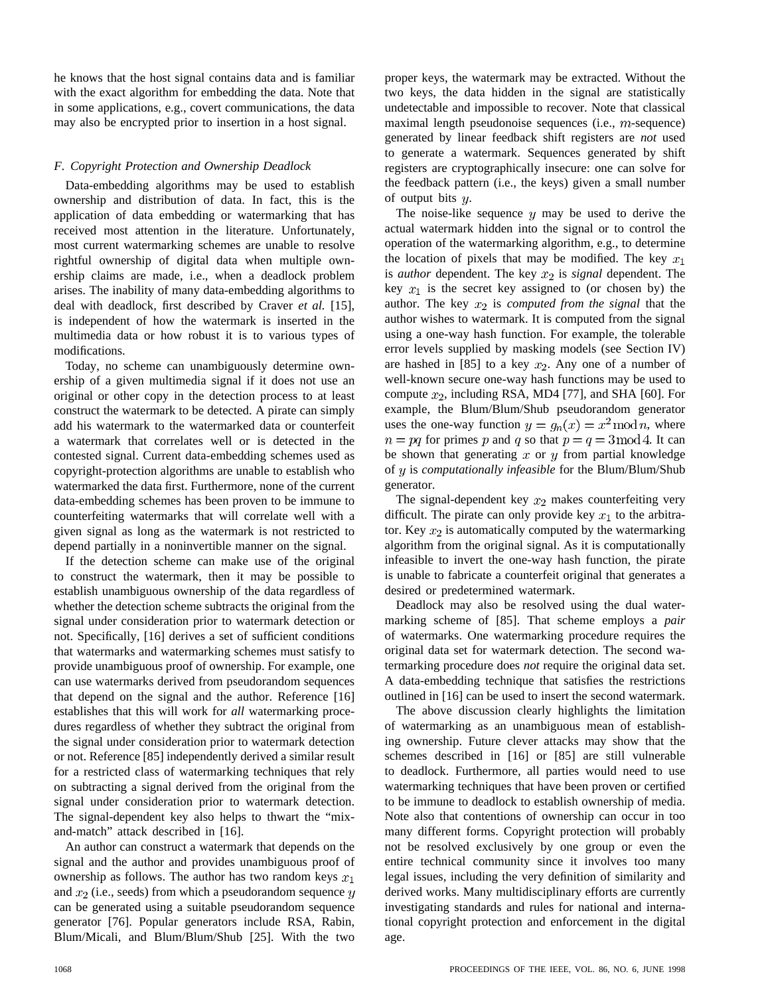he knows that the host signal contains data and is familiar with the exact algorithm for embedding the data. Note that in some applications, e.g., covert communications, the data may also be encrypted prior to insertion in a host signal.

# *F. Copyright Protection and Ownership Deadlock*

Data-embedding algorithms may be used to establish ownership and distribution of data. In fact, this is the application of data embedding or watermarking that has received most attention in the literature. Unfortunately, most current watermarking schemes are unable to resolve rightful ownership of digital data when multiple ownership claims are made, i.e., when a deadlock problem arises. The inability of many data-embedding algorithms to deal with deadlock, first described by Craver *et al.* [15], is independent of how the watermark is inserted in the multimedia data or how robust it is to various types of modifications.

Today, no scheme can unambiguously determine ownership of a given multimedia signal if it does not use an original or other copy in the detection process to at least construct the watermark to be detected. A pirate can simply add his watermark to the watermarked data or counterfeit a watermark that correlates well or is detected in the contested signal. Current data-embedding schemes used as copyright-protection algorithms are unable to establish who watermarked the data first. Furthermore, none of the current data-embedding schemes has been proven to be immune to counterfeiting watermarks that will correlate well with a given signal as long as the watermark is not restricted to depend partially in a noninvertible manner on the signal.

If the detection scheme can make use of the original to construct the watermark, then it may be possible to establish unambiguous ownership of the data regardless of whether the detection scheme subtracts the original from the signal under consideration prior to watermark detection or not. Specifically, [16] derives a set of sufficient conditions that watermarks and watermarking schemes must satisfy to provide unambiguous proof of ownership. For example, one can use watermarks derived from pseudorandom sequences that depend on the signal and the author. Reference [16] establishes that this will work for *all* watermarking procedures regardless of whether they subtract the original from the signal under consideration prior to watermark detection or not. Reference [85] independently derived a similar result for a restricted class of watermarking techniques that rely on subtracting a signal derived from the original from the signal under consideration prior to watermark detection. The signal-dependent key also helps to thwart the "mixand-match" attack described in [16].

An author can construct a watermark that depends on the signal and the author and provides unambiguous proof of ownership as follows. The author has two random keys  $x_1$ and  $x_2$  (i.e., seeds) from which a pseudorandom sequence  $y$ can be generated using a suitable pseudorandom sequence generator [76]. Popular generators include RSA, Rabin, Blum/Micali, and Blum/Blum/Shub [25]. With the two

proper keys, the watermark may be extracted. Without the two keys, the data hidden in the signal are statistically undetectable and impossible to recover. Note that classical maximal length pseudonoise sequences (i.e.,  $m$ -sequence) generated by linear feedback shift registers are *not* used to generate a watermark. Sequences generated by shift registers are cryptographically insecure: one can solve for the feedback pattern (i.e., the keys) given a small number of output bits  $y$ .

The noise-like sequence  $y$  may be used to derive the actual watermark hidden into the signal or to control the operation of the watermarking algorithm, e.g., to determine the location of pixels that may be modified. The key  $x_1$ is *author* dependent. The key  $x_2$  is *signal* dependent. The key  $x_1$  is the secret key assigned to (or chosen by) the author. The key  $x_2$  is *computed from the signal* that the author wishes to watermark. It is computed from the signal using a one-way hash function. For example, the tolerable error levels supplied by masking models (see Section IV) are hashed in [85] to a key  $x_2$ . Any one of a number of well-known secure one-way hash functions may be used to compute  $x_2$ , including RSA, MD4 [77], and SHA [60]. For example, the Blum/Blum/Shub pseudorandom generator uses the one-way function  $y = q_n(x) = x^2 \mod n$ , where  $n = pq$  for primes p and q so that  $p = q = 3 \mod 4$ . It can be shown that generating x or  $y$  from partial knowledge of y is *computationally infeasible* for the Blum/Blum/Shub generator.

The signal-dependent key  $x_2$  makes counterfeiting very difficult. The pirate can only provide key  $x_1$  to the arbitrator. Key  $x_2$  is automatically computed by the watermarking algorithm from the original signal. As it is computationally infeasible to invert the one-way hash function, the pirate is unable to fabricate a counterfeit original that generates a desired or predetermined watermark.

Deadlock may also be resolved using the dual watermarking scheme of [85]. That scheme employs a *pair* of watermarks. One watermarking procedure requires the original data set for watermark detection. The second watermarking procedure does *not* require the original data set. A data-embedding technique that satisfies the restrictions outlined in [16] can be used to insert the second watermark.

The above discussion clearly highlights the limitation of watermarking as an unambiguous mean of establishing ownership. Future clever attacks may show that the schemes described in [16] or [85] are still vulnerable to deadlock. Furthermore, all parties would need to use watermarking techniques that have been proven or certified to be immune to deadlock to establish ownership of media. Note also that contentions of ownership can occur in too many different forms. Copyright protection will probably not be resolved exclusively by one group or even the entire technical community since it involves too many legal issues, including the very definition of similarity and derived works. Many multidisciplinary efforts are currently investigating standards and rules for national and international copyright protection and enforcement in the digital age.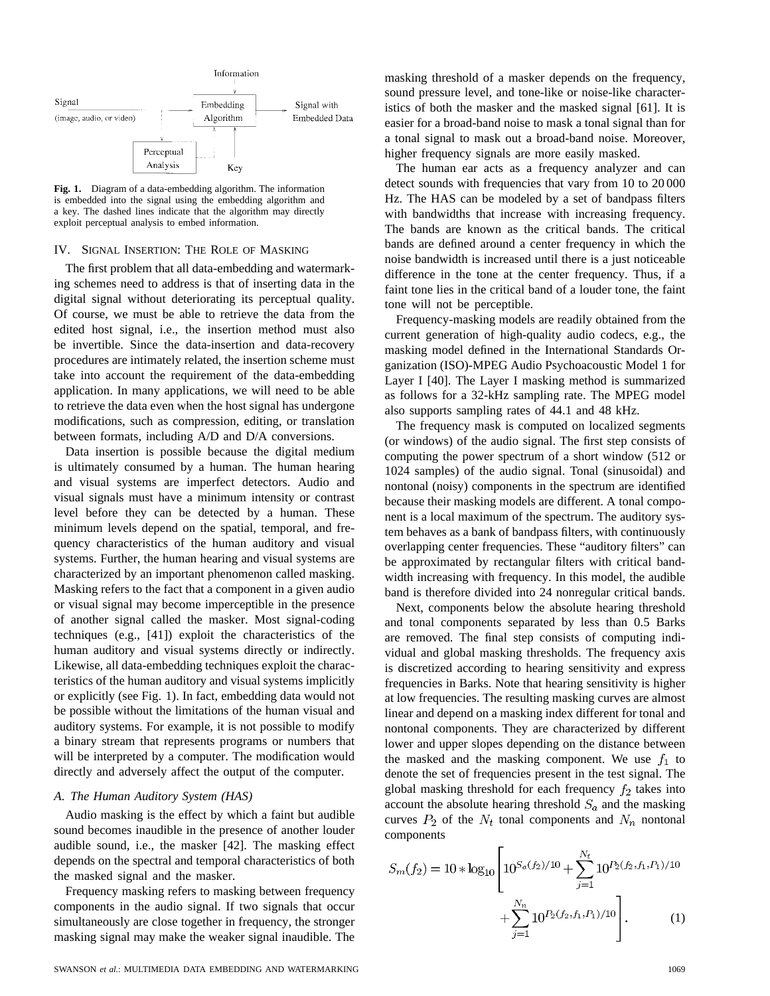

**Fig. 1.** Diagram of a data-embedding algorithm. The information is embedded into the signal using the embedding algorithm and a key. The dashed lines indicate that the algorithm may directly exploit perceptual analysis to embed information.

#### IV. SIGNAL INSERTION: THE ROLE OF MASKING

The first problem that all data-embedding and watermarking schemes need to address is that of inserting data in the digital signal without deteriorating its perceptual quality. Of course, we must be able to retrieve the data from the edited host signal, i.e., the insertion method must also be invertible. Since the data-insertion and data-recovery procedures are intimately related, the insertion scheme must take into account the requirement of the data-embedding application. In many applications, we will need to be able to retrieve the data even when the host signal has undergone modifications, such as compression, editing, or translation between formats, including A/D and D/A conversions.

Data insertion is possible because the digital medium is ultimately consumed by a human. The human hearing and visual systems are imperfect detectors. Audio and visual signals must have a minimum intensity or contrast level before they can be detected by a human. These minimum levels depend on the spatial, temporal, and frequency characteristics of the human auditory and visual systems. Further, the human hearing and visual systems are characterized by an important phenomenon called masking. Masking refers to the fact that a component in a given audio or visual signal may become imperceptible in the presence of another signal called the masker. Most signal-coding techniques (e.g., [41]) exploit the characteristics of the human auditory and visual systems directly or indirectly. Likewise, all data-embedding techniques exploit the characteristics of the human auditory and visual systems implicitly or explicitly (see Fig. 1). In fact, embedding data would not be possible without the limitations of the human visual and auditory systems. For example, it is not possible to modify a binary stream that represents programs or numbers that will be interpreted by a computer. The modification would directly and adversely affect the output of the computer.

#### *A. The Human Auditory System (HAS)*

Audio masking is the effect by which a faint but audible sound becomes inaudible in the presence of another louder audible sound, i.e., the masker [42]. The masking effect depends on the spectral and temporal characteristics of both the masked signal and the masker.

Frequency masking refers to masking between frequency components in the audio signal. If two signals that occur simultaneously are close together in frequency, the stronger masking signal may make the weaker signal inaudible. The masking threshold of a masker depends on the frequency, sound pressure level, and tone-like or noise-like characteristics of both the masker and the masked signal [61]. It is easier for a broad-band noise to mask a tonal signal than for a tonal signal to mask out a broad-band noise. Moreover, higher frequency signals are more easily masked.

The human ear acts as a frequency analyzer and can detect sounds with frequencies that vary from 10 to 20 000 Hz. The HAS can be modeled by a set of bandpass filters with bandwidths that increase with increasing frequency. The bands are known as the critical bands. The critical bands are defined around a center frequency in which the noise bandwidth is increased until there is a just noticeable difference in the tone at the center frequency. Thus, if a faint tone lies in the critical band of a louder tone, the faint tone will not be perceptible.

Frequency-masking models are readily obtained from the current generation of high-quality audio codecs, e.g., the masking model defined in the International Standards Organization (ISO)-MPEG Audio Psychoacoustic Model 1 for Layer I [40]. The Layer I masking method is summarized as follows for a 32-kHz sampling rate. The MPEG model also supports sampling rates of 44.1 and 48 kHz.

The frequency mask is computed on localized segments (or windows) of the audio signal. The first step consists of computing the power spectrum of a short window (512 or 1024 samples) of the audio signal. Tonal (sinusoidal) and nontonal (noisy) components in the spectrum are identified because their masking models are different. A tonal component is a local maximum of the spectrum. The auditory system behaves as a bank of bandpass filters, with continuously overlapping center frequencies. These "auditory filters" can be approximated by rectangular filters with critical bandwidth increasing with frequency. In this model, the audible band is therefore divided into 24 nonregular critical bands.

Next, components below the absolute hearing threshold and tonal components separated by less than 0.5 Barks are removed. The final step consists of computing individual and global masking thresholds. The frequency axis is discretized according to hearing sensitivity and express frequencies in Barks. Note that hearing sensitivity is higher at low frequencies. The resulting masking curves are almost linear and depend on a masking index different for tonal and nontonal components. They are characterized by different lower and upper slopes depending on the distance between the masked and the masking component. We use  $f_1$  to denote the set of frequencies present in the test signal. The global masking threshold for each frequency  $f_2$  takes into account the absolute hearing threshold  $S_a$  and the masking curves  $P_2$  of the  $N_t$  tonal components and  $N_n$  nontonal components

$$
S_m(f_2) = 10 * \log_{10} \left[ 10^{S_a(f_2)/10} + \sum_{j=1}^{N_t} 10^{P_2(f_2, f_1, P_1)/10} + \sum_{j=1}^{N_n} 10^{P_2(f_2, f_1, P_1)/10} \right].
$$
 (1)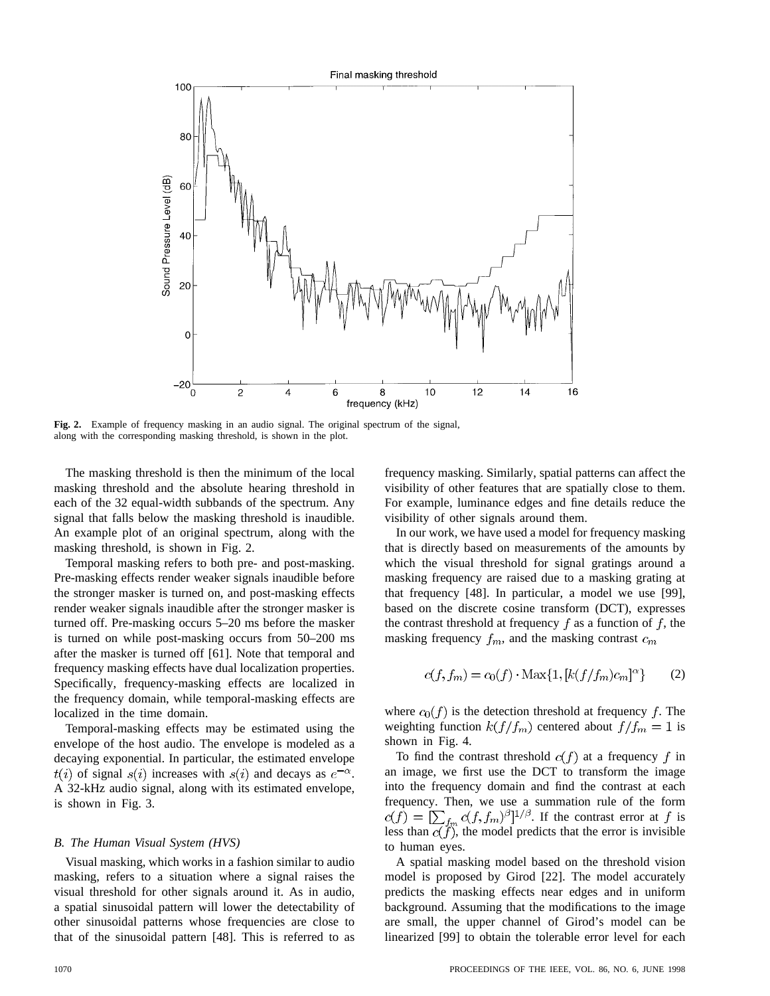

**Fig. 2.** Example of frequency masking in an audio signal. The original spectrum of the signal, along with the corresponding masking threshold, is shown in the plot.

The masking threshold is then the minimum of the local masking threshold and the absolute hearing threshold in each of the 32 equal-width subbands of the spectrum. Any signal that falls below the masking threshold is inaudible. An example plot of an original spectrum, along with the masking threshold, is shown in Fig. 2.

Temporal masking refers to both pre- and post-masking. Pre-masking effects render weaker signals inaudible before the stronger masker is turned on, and post-masking effects render weaker signals inaudible after the stronger masker is turned off. Pre-masking occurs 5–20 ms before the masker is turned on while post-masking occurs from 50–200 ms after the masker is turned off [61]. Note that temporal and frequency masking effects have dual localization properties. Specifically, frequency-masking effects are localized in the frequency domain, while temporal-masking effects are localized in the time domain.

Temporal-masking effects may be estimated using the envelope of the host audio. The envelope is modeled as a decaying exponential. In particular, the estimated envelope  $t(i)$  of signal  $s(i)$  increases with  $s(i)$  and decays as  $e^{-\alpha}$ . A 32-kHz audio signal, along with its estimated envelope, is shown in Fig. 3.

#### *B. The Human Visual System (HVS)*

Visual masking, which works in a fashion similar to audio masking, refers to a situation where a signal raises the visual threshold for other signals around it. As in audio, a spatial sinusoidal pattern will lower the detectability of other sinusoidal patterns whose frequencies are close to that of the sinusoidal pattern [48]. This is referred to as frequency masking. Similarly, spatial patterns can affect the visibility of other features that are spatially close to them. For example, luminance edges and fine details reduce the visibility of other signals around them.

In our work, we have used a model for frequency masking that is directly based on measurements of the amounts by which the visual threshold for signal gratings around a masking frequency are raised due to a masking grating at that frequency [48]. In particular, a model we use [99], based on the discrete cosine transform (DCT), expresses the contrast threshold at frequency  $f$  as a function of  $f$ , the masking frequency  $f_m$ , and the masking contrast  $c_m$ 

$$
c(f, f_m) = c_0(f) \cdot \text{Max}\{1, [k(f/f_m)c_m]^{\alpha}\}
$$
 (2)

where  $c_0(f)$  is the detection threshold at frequency f. The weighting function  $k(f/f_m)$  centered about  $f/f_m = 1$  is shown in Fig. 4.

To find the contrast threshold  $c(f)$  at a frequency f in an image, we first use the DCT to transform the image into the frequency domain and find the contrast at each frequency. Then, we use a summation rule of the form . If the contrast error at  $f$  is less than  $c(f)$ , the model predicts that the error is invisible to human eyes.

A spatial masking model based on the threshold vision model is proposed by Girod [22]. The model accurately predicts the masking effects near edges and in uniform background. Assuming that the modifications to the image are small, the upper channel of Girod's model can be linearized [99] to obtain the tolerable error level for each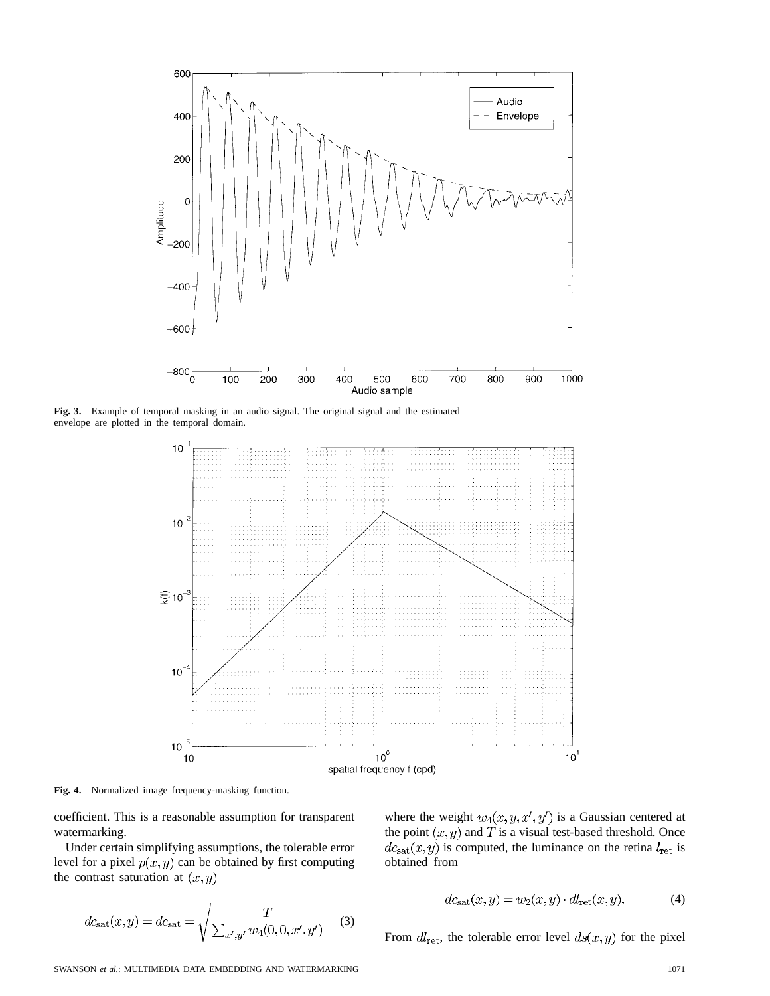

**Fig. 3.** Example of temporal masking in an audio signal. The original signal and the estimated envelope are plotted in the temporal domain.



**Fig. 4.** Normalized image frequency-masking function.

coefficient. This is a reasonable assumption for transparent watermarking.

Under certain simplifying assumptions, the tolerable error level for a pixel  $p(x, y)$  can be obtained by first computing the contrast saturation at  $(x, y)$ 

$$
dc_{\rm sat}(x, y) = dc_{\rm sat} = \sqrt{\frac{T}{\sum_{x', y'} w_4(0, 0, x', y')}} \quad (3)
$$

where the weight  $w_4(x, y, x', y')$  is a Gaussian centered at the point  $(x, y)$  and  $T$  is a visual test-based threshold. Once  $dc_{\text{sat}}(x, y)$  is computed, the luminance on the retina  $l_{\text{ret}}$  is obtained from

$$
dc_{\text{sat}}(x,y) = w_2(x,y) \cdot d l_{\text{ret}}(x,y). \tag{4}
$$

From  $dl_{\text{ret}}$ , the tolerable error level  $ds(x, y)$  for the pixel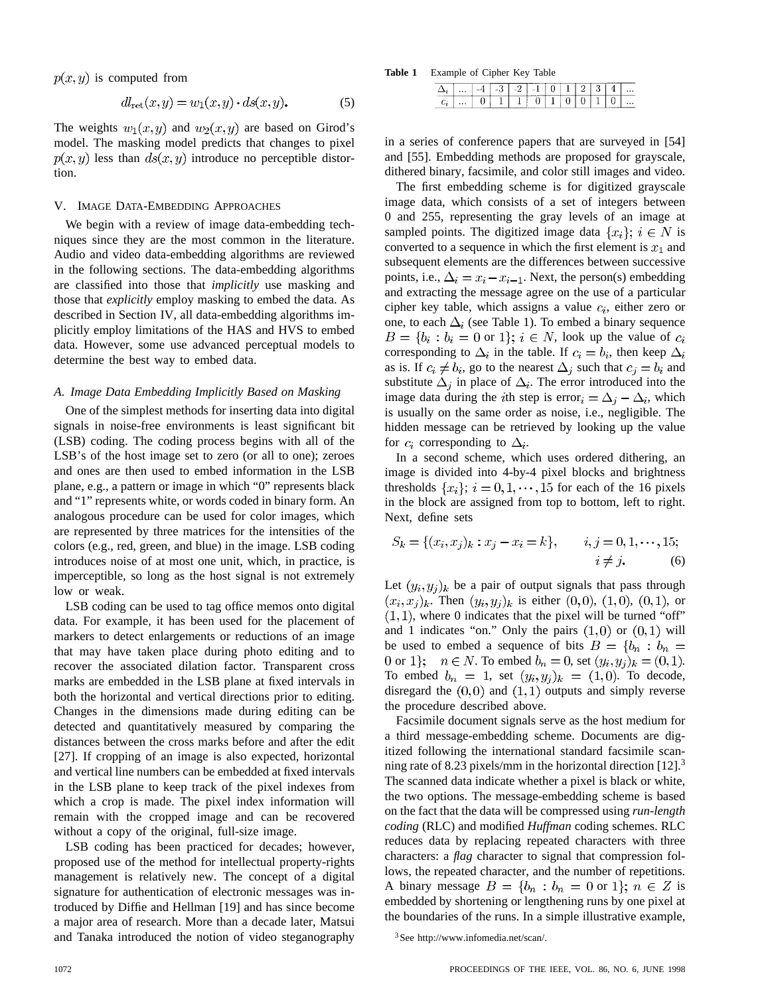$p(x, y)$  is computed from

$$
dl_{\text{ret}}(x, y) = w_1(x, y) \cdot ds(x, y). \tag{5}
$$

The weights  $w_1(x, y)$  and  $w_2(x, y)$  are based on Girod's model. The masking model predicts that changes to pixel  $p(x, y)$  less than  $ds(x, y)$  introduce no perceptible distortion.

# V. IMAGE DATA-EMBEDDING APPROACHES

We begin with a review of image data-embedding techniques since they are the most common in the literature. Audio and video data-embedding algorithms are reviewed in the following sections. The data-embedding algorithms are classified into those that *implicitly* use masking and those that *explicitly* employ masking to embed the data. As described in Section IV, all data-embedding algorithms implicitly employ limitations of the HAS and HVS to embed data. However, some use advanced perceptual models to determine the best way to embed data.

# *A. Image Data Embedding Implicitly Based on Masking*

One of the simplest methods for inserting data into digital signals in noise-free environments is least significant bit (LSB) coding. The coding process begins with all of the LSB's of the host image set to zero (or all to one); zeroes and ones are then used to embed information in the LSB plane, e.g., a pattern or image in which "0" represents black and "1" represents white, or words coded in binary form. An analogous procedure can be used for color images, which are represented by three matrices for the intensities of the colors (e.g., red, green, and blue) in the image. LSB coding introduces noise of at most one unit, which, in practice, is imperceptible, so long as the host signal is not extremely low or weak.

LSB coding can be used to tag office memos onto digital data. For example, it has been used for the placement of markers to detect enlargements or reductions of an image that may have taken place during photo editing and to recover the associated dilation factor. Transparent cross marks are embedded in the LSB plane at fixed intervals in both the horizontal and vertical directions prior to editing. Changes in the dimensions made during editing can be detected and quantitatively measured by comparing the distances between the cross marks before and after the edit [27]. If cropping of an image is also expected, horizontal and vertical line numbers can be embedded at fixed intervals in the LSB plane to keep track of the pixel indexes from which a crop is made. The pixel index information will remain with the cropped image and can be recovered without a copy of the original, full-size image.

LSB coding has been practiced for decades; however, proposed use of the method for intellectual property-rights management is relatively new. The concept of a digital signature for authentication of electronic messages was introduced by Diffie and Hellman [19] and has since become a major area of research. More than a decade later, Matsui and Tanaka introduced the notion of video steganography

| Table 1 | Example of Cipher Key Table |          |                                                  |  |  |                 |  |  |  |  |  |  |
|---------|-----------------------------|----------|--------------------------------------------------|--|--|-----------------|--|--|--|--|--|--|
|         |                             |          | $\ldots$   -4   -3   -2   -1   0   1   2   3   4 |  |  |                 |  |  |  |  |  |  |
|         |                             | $\cdots$ |                                                  |  |  | $1 \mid 0 \mid$ |  |  |  |  |  |  |

in a series of conference papers that are surveyed in [54] and [55]. Embedding methods are proposed for grayscale, dithered binary, facsimile, and color still images and video.

The first embedding scheme is for digitized grayscale image data, which consists of a set of integers between 0 and 255, representing the gray levels of an image at sampled points. The digitized image data  $\{x_i\}$ ;  $i \in N$  is converted to a sequence in which the first element is  $x_1$  and subsequent elements are the differences between successive points, i.e.,  $\Delta_i = x_i - x_{i-1}$ . Next, the person(s) embedding and extracting the message agree on the use of a particular cipher key table, which assigns a value  $c_i$ , either zero or one, to each  $\Delta_i$  (see Table 1). To embed a binary sequence  $B = \{b_i : b_i = 0 \text{ or } 1\}; i \in N$ , look up the value of  $c_i$ corresponding to  $\Delta_i$  in the table. If  $c_i = b_i$ , then keep  $\Delta_i$ as is. If  $c_i \neq b_i$ , go to the nearest  $\Delta_i$  such that  $c_i = b_i$  and substitute  $\Delta_i$  in place of  $\Delta_i$ . The error introduced into the image data during the *i*th step is error<sub>i</sub> =  $\Delta_i$  –  $\Delta_i$ , which is usually on the same order as noise, i.e., negligible. The hidden message can be retrieved by looking up the value for  $c_i$  corresponding to  $\Delta_i$ .

In a second scheme, which uses ordered dithering, an image is divided into 4-by-4 pixel blocks and brightness thresholds  $\{x_i\}$ ;  $i = 0, 1, \dots, 15$  for each of the 16 pixels in the block are assigned from top to bottom, left to right. Next, define sets

$$
S_k = \{(x_i, x_j)_k : x_j - x_i = k\}, \qquad i, j = 0, 1, \dots, 15; i \neq j.
$$
 (6)

Let  $(y_i, y_j)_k$  be a pair of output signals that pass through  $(x_i, x_j)_k$ . Then  $(y_i, y_j)_k$  is either  $(0, 0)$ ,  $(1, 0)$ ,  $(0, 1)$ , or  $(1, 1)$ , where 0 indicates that the pixel will be turned "off" and 1 indicates "on." Only the pairs  $(1,0)$  or  $(0,1)$  will be used to embed a sequence of bits  $B = \{b_n : b_n =$ 0 or 1};  $n \in N$ . To embed  $b_n = 0$ , set  $(y_i, y_j)_k = (0, 1)$ . To embed  $b_n = 1$ , set  $(y_i, y_j)_k = (1, 0)$ . To decode, disregard the  $(0,0)$  and  $(1,1)$  outputs and simply reverse the procedure described above.

Facsimile document signals serve as the host medium for a third message-embedding scheme. Documents are digitized following the international standard facsimile scanning rate of 8.23 pixels/mm in the horizontal direction  $[12]$ .<sup>3</sup> The scanned data indicate whether a pixel is black or white, the two options. The message-embedding scheme is based on the fact that the data will be compressed using *run-length coding* (RLC) and modified *Huffman* coding schemes. RLC reduces data by replacing repeated characters with three characters: a *flag* character to signal that compression follows, the repeated character, and the number of repetitions. A binary message  $B = \{b_n : b_n = 0 \text{ or } 1\}; n \in \mathbb{Z}$  is embedded by shortening or lengthening runs by one pixel at the boundaries of the runs. In a simple illustrative example,

<sup>3</sup>See http://www.infomedia.net/scan/.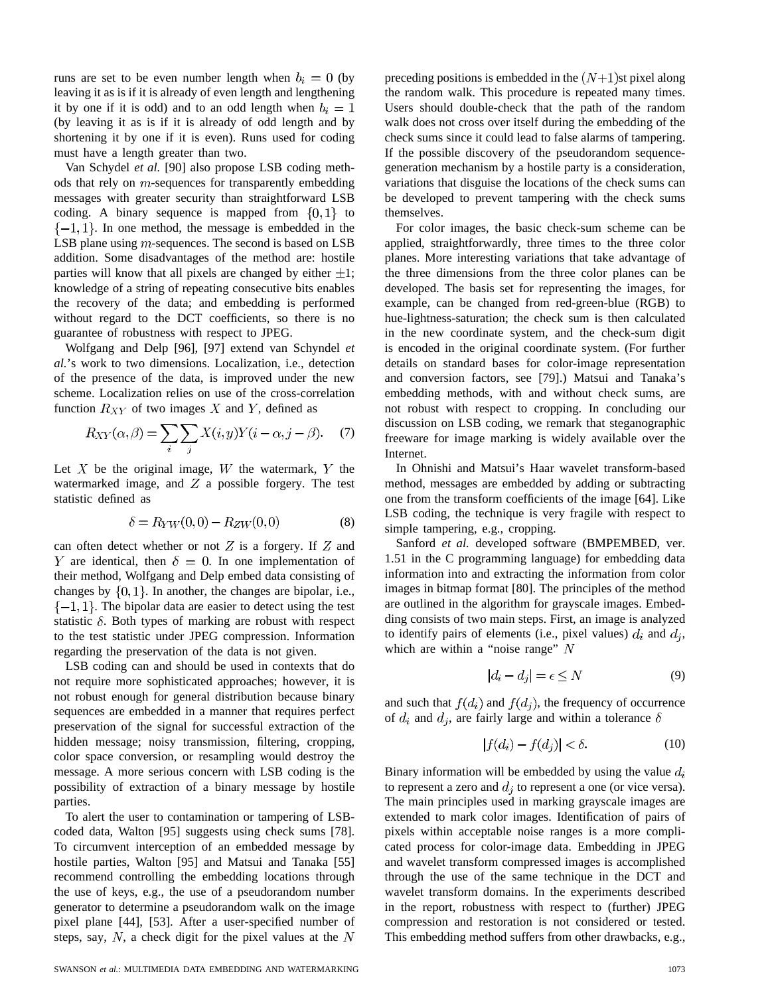runs are set to be even number length when  $b_i = 0$  (by leaving it as is if it is already of even length and lengthening it by one if it is odd) and to an odd length when  $b_i = 1$ (by leaving it as is if it is already of odd length and by shortening it by one if it is even). Runs used for coding must have a length greater than two.

Van Schydel *et al.* [90] also propose LSB coding methods that rely on  $m$ -sequences for transparently embedding messages with greater security than straightforward LSB coding. A binary sequence is mapped from  $\{0,1\}$  to  $\{-1,1\}$ . In one method, the message is embedded in the LSB plane using  $m$ -sequences. The second is based on LSB addition. Some disadvantages of the method are: hostile parties will know that all pixels are changed by either  $\pm 1$ ; knowledge of a string of repeating consecutive bits enables the recovery of the data; and embedding is performed without regard to the DCT coefficients, so there is no guarantee of robustness with respect to JPEG.

Wolfgang and Delp [96], [97] extend van Schyndel *et al.*'s work to two dimensions. Localization, i.e., detection of the presence of the data, is improved under the new scheme. Localization relies on use of the cross-correlation function  $R_{XY}$  of two images X and Y, defined as

$$
R_{XY}(\alpha,\beta) = \sum_{i} \sum_{j} X(i,y)Y(i-\alpha,j-\beta). \quad (7)
$$

Let  $X$  be the original image,  $W$  the watermark,  $Y$  the watermarked image, and  $Z$  a possible forgery. The test statistic defined as

$$
\delta = R_{YW}(0,0) - R_{ZW}(0,0) \tag{8}
$$

can often detect whether or not  $Z$  is a forgery. If  $Z$  and Y are identical, then  $\delta = 0$ . In one implementation of their method, Wolfgang and Delp embed data consisting of changes by  $\{0, 1\}$ . In another, the changes are bipolar, i.e.,  $\{-1, 1\}$ . The bipolar data are easier to detect using the test statistic  $\delta$ . Both types of marking are robust with respect to the test statistic under JPEG compression. Information regarding the preservation of the data is not given.

LSB coding can and should be used in contexts that do not require more sophisticated approaches; however, it is not robust enough for general distribution because binary sequences are embedded in a manner that requires perfect preservation of the signal for successful extraction of the hidden message; noisy transmission, filtering, cropping, color space conversion, or resampling would destroy the message. A more serious concern with LSB coding is the possibility of extraction of a binary message by hostile parties.

To alert the user to contamination or tampering of LSBcoded data, Walton [95] suggests using check sums [78]. To circumvent interception of an embedded message by hostile parties, Walton [95] and Matsui and Tanaka [55] recommend controlling the embedding locations through the use of keys, e.g., the use of a pseudorandom number generator to determine a pseudorandom walk on the image pixel plane [44], [53]. After a user-specified number of steps, say,  $N$ , a check digit for the pixel values at the  $N$  preceding positions is embedded in the  $(N+1)$ st pixel along the random walk. This procedure is repeated many times. Users should double-check that the path of the random walk does not cross over itself during the embedding of the check sums since it could lead to false alarms of tampering. If the possible discovery of the pseudorandom sequencegeneration mechanism by a hostile party is a consideration, variations that disguise the locations of the check sums can be developed to prevent tampering with the check sums themselves.

For color images, the basic check-sum scheme can be applied, straightforwardly, three times to the three color planes. More interesting variations that take advantage of the three dimensions from the three color planes can be developed. The basis set for representing the images, for example, can be changed from red-green-blue (RGB) to hue-lightness-saturation; the check sum is then calculated in the new coordinate system, and the check-sum digit is encoded in the original coordinate system. (For further details on standard bases for color-image representation and conversion factors, see [79].) Matsui and Tanaka's embedding methods, with and without check sums, are not robust with respect to cropping. In concluding our discussion on LSB coding, we remark that steganographic freeware for image marking is widely available over the Internet.

In Ohnishi and Matsui's Haar wavelet transform-based method, messages are embedded by adding or subtracting one from the transform coefficients of the image [64]. Like LSB coding, the technique is very fragile with respect to simple tampering, e.g., cropping.

Sanford *et al.* developed software (BMPEMBED, ver. 1.51 in the C programming language) for embedding data information into and extracting the information from color images in bitmap format [80]. The principles of the method are outlined in the algorithm for grayscale images. Embedding consists of two main steps. First, an image is analyzed to identify pairs of elements (i.e., pixel values)  $d_i$  and  $d_j$ , which are within a "noise range"  $N$ 

$$
|d_i - d_j| = \epsilon \le N \tag{9}
$$

and such that  $f(d_i)$  and  $f(d_j)$ , the frequency of occurrence of  $d_i$  and  $d_j$ , are fairly large and within a tolerance  $\delta$ 

$$
|f(d_i) - f(d_j)| < \delta. \tag{10}
$$

Binary information will be embedded by using the value  $d_i$ to represent a zero and  $d_i$  to represent a one (or vice versa). The main principles used in marking grayscale images are extended to mark color images. Identification of pairs of pixels within acceptable noise ranges is a more complicated process for color-image data. Embedding in JPEG and wavelet transform compressed images is accomplished through the use of the same technique in the DCT and wavelet transform domains. In the experiments described in the report, robustness with respect to (further) JPEG compression and restoration is not considered or tested. This embedding method suffers from other drawbacks, e.g.,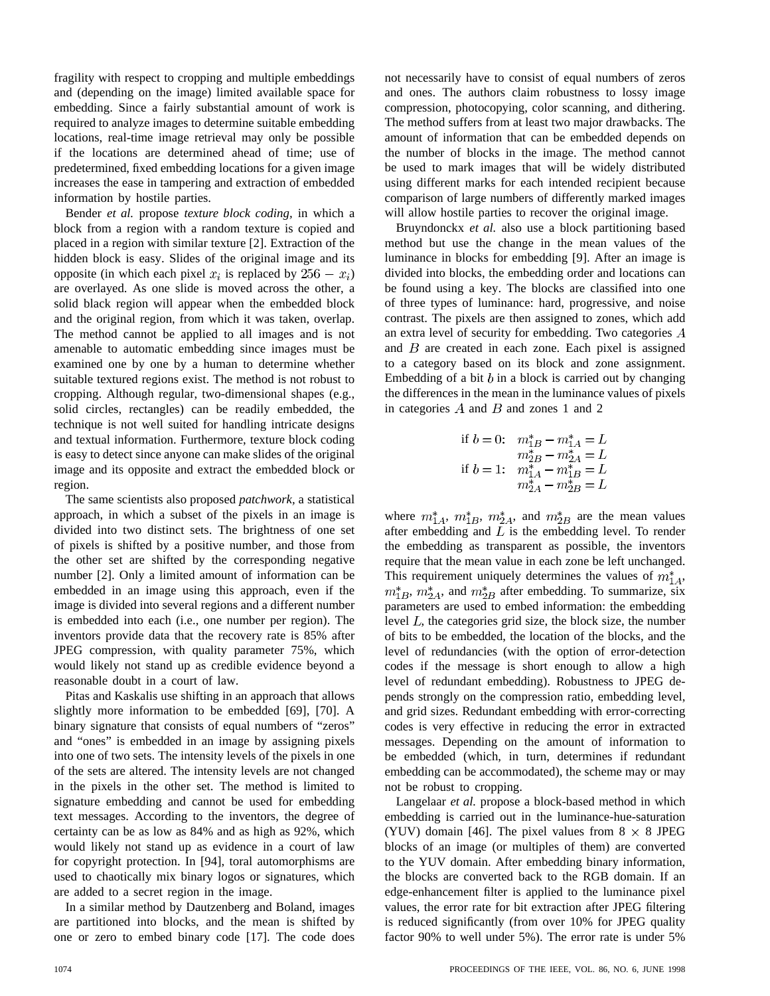fragility with respect to cropping and multiple embeddings and (depending on the image) limited available space for embedding. Since a fairly substantial amount of work is required to analyze images to determine suitable embedding locations, real-time image retrieval may only be possible if the locations are determined ahead of time; use of predetermined, fixed embedding locations for a given image increases the ease in tampering and extraction of embedded information by hostile parties.

Bender *et al.* propose *texture block coding,* in which a block from a region with a random texture is copied and placed in a region with similar texture [2]. Extraction of the hidden block is easy. Slides of the original image and its opposite (in which each pixel  $x_i$  is replaced by  $256 - x_i$ ) are overlayed. As one slide is moved across the other, a solid black region will appear when the embedded block and the original region, from which it was taken, overlap. The method cannot be applied to all images and is not amenable to automatic embedding since images must be examined one by one by a human to determine whether suitable textured regions exist. The method is not robust to cropping. Although regular, two-dimensional shapes (e.g., solid circles, rectangles) can be readily embedded, the technique is not well suited for handling intricate designs and textual information. Furthermore, texture block coding is easy to detect since anyone can make slides of the original image and its opposite and extract the embedded block or region.

The same scientists also proposed *patchwork,* a statistical approach, in which a subset of the pixels in an image is divided into two distinct sets. The brightness of one set of pixels is shifted by a positive number, and those from the other set are shifted by the corresponding negative number [2]. Only a limited amount of information can be embedded in an image using this approach, even if the image is divided into several regions and a different number is embedded into each (i.e., one number per region). The inventors provide data that the recovery rate is 85% after JPEG compression, with quality parameter 75%, which would likely not stand up as credible evidence beyond a reasonable doubt in a court of law.

Pitas and Kaskalis use shifting in an approach that allows slightly more information to be embedded [69], [70]. A binary signature that consists of equal numbers of "zeros" and "ones" is embedded in an image by assigning pixels into one of two sets. The intensity levels of the pixels in one of the sets are altered. The intensity levels are not changed in the pixels in the other set. The method is limited to signature embedding and cannot be used for embedding text messages. According to the inventors, the degree of certainty can be as low as 84% and as high as 92%, which would likely not stand up as evidence in a court of law for copyright protection. In [94], toral automorphisms are used to chaotically mix binary logos or signatures, which are added to a secret region in the image.

In a similar method by Dautzenberg and Boland, images are partitioned into blocks, and the mean is shifted by one or zero to embed binary code [17]. The code does

not necessarily have to consist of equal numbers of zeros and ones. The authors claim robustness to lossy image compression, photocopying, color scanning, and dithering. The method suffers from at least two major drawbacks. The amount of information that can be embedded depends on the number of blocks in the image. The method cannot be used to mark images that will be widely distributed using different marks for each intended recipient because comparison of large numbers of differently marked images will allow hostile parties to recover the original image.

Bruyndonckx *et al.* also use a block partitioning based method but use the change in the mean values of the luminance in blocks for embedding [9]. After an image is divided into blocks, the embedding order and locations can be found using a key. The blocks are classified into one of three types of luminance: hard, progressive, and noise contrast. The pixels are then assigned to zones, which add an extra level of security for embedding. Two categories  $A$ and  $B$  are created in each zone. Each pixel is assigned to a category based on its block and zone assignment. Embedding of a bit  $b$  in a block is carried out by changing the differences in the mean in the luminance values of pixels in categories  $A$  and  $B$  and zones 1 and 2

if 
$$
b = 0
$$
:  $m_{1B}^* - m_{1A}^* = L$   
\n $m_{2B}^* - m_{2A}^* = L$   
\nif  $b = 1$ :  $m_{1A}^* - m_{1B}^* = L$   
\n $m_{2A}^* - m_{2B}^* = L$ 

where  $m_{1A}^*$ ,  $m_{1B}^*$ ,  $m_{2A}^*$ , and  $m_{2B}^*$  are the mean values after embedding and  $L$  is the embedding level. To render the embedding as transparent as possible, the inventors require that the mean value in each zone be left unchanged. This requirement uniquely determines the values of  $m^*_{1,4}$ ,  $m_{1B}^*$ ,  $m_{2A}^*$ , and  $m_{2B}^*$  after embedding. To summarize, six parameters are used to embed information: the embedding level  $L$ , the categories grid size, the block size, the number of bits to be embedded, the location of the blocks, and the level of redundancies (with the option of error-detection codes if the message is short enough to allow a high level of redundant embedding). Robustness to JPEG depends strongly on the compression ratio, embedding level, and grid sizes. Redundant embedding with error-correcting codes is very effective in reducing the error in extracted messages. Depending on the amount of information to be embedded (which, in turn, determines if redundant embedding can be accommodated), the scheme may or may not be robust to cropping.

Langelaar *et al.* propose a block-based method in which embedding is carried out in the luminance-hue-saturation (YUV) domain [46]. The pixel values from  $8 \times 8$  JPEG blocks of an image (or multiples of them) are converted to the YUV domain. After embedding binary information, the blocks are converted back to the RGB domain. If an edge-enhancement filter is applied to the luminance pixel values, the error rate for bit extraction after JPEG filtering is reduced significantly (from over 10% for JPEG quality factor 90% to well under 5%). The error rate is under 5%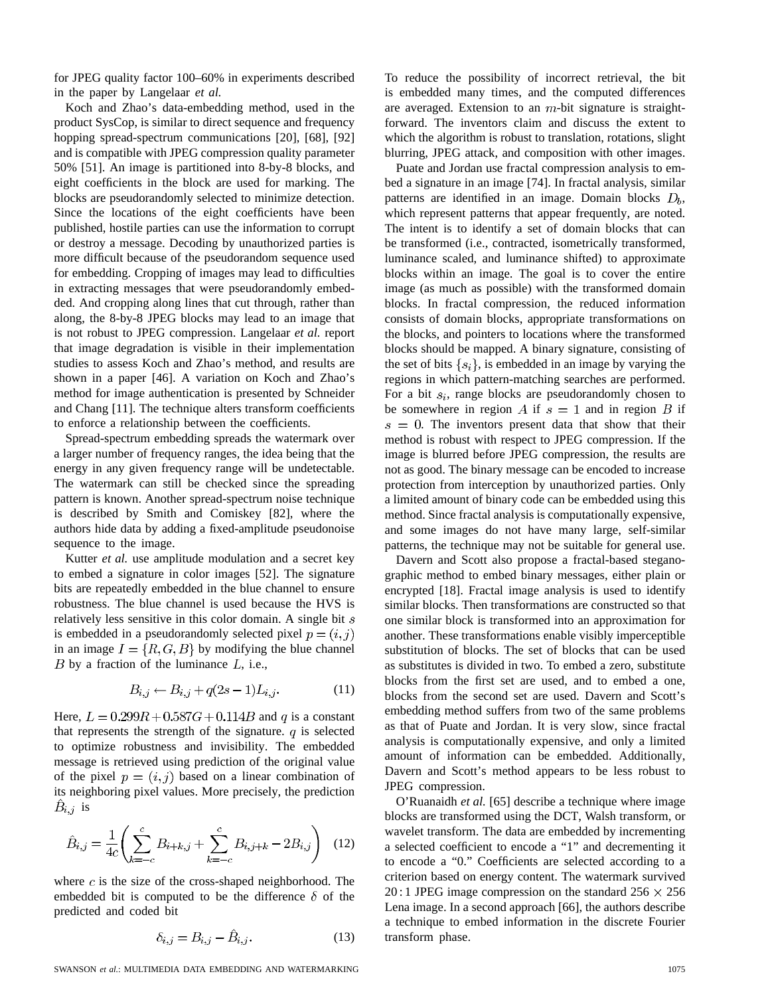for JPEG quality factor 100–60% in experiments described in the paper by Langelaar *et al.*

Koch and Zhao's data-embedding method, used in the product SysCop, is similar to direct sequence and frequency hopping spread-spectrum communications [20], [68], [92] and is compatible with JPEG compression quality parameter 50% [51]. An image is partitioned into 8-by-8 blocks, and eight coefficients in the block are used for marking. The blocks are pseudorandomly selected to minimize detection. Since the locations of the eight coefficients have been published, hostile parties can use the information to corrupt or destroy a message. Decoding by unauthorized parties is more difficult because of the pseudorandom sequence used for embedding. Cropping of images may lead to difficulties in extracting messages that were pseudorandomly embedded. And cropping along lines that cut through, rather than along, the 8-by-8 JPEG blocks may lead to an image that is not robust to JPEG compression. Langelaar *et al.* report that image degradation is visible in their implementation studies to assess Koch and Zhao's method, and results are shown in a paper [46]. A variation on Koch and Zhao's method for image authentication is presented by Schneider and Chang [11]. The technique alters transform coefficients to enforce a relationship between the coefficients.

Spread-spectrum embedding spreads the watermark over a larger number of frequency ranges, the idea being that the energy in any given frequency range will be undetectable. The watermark can still be checked since the spreading pattern is known. Another spread-spectrum noise technique is described by Smith and Comiskey [82], where the authors hide data by adding a fixed-amplitude pseudonoise sequence to the image.

Kutter *et al.* use amplitude modulation and a secret key to embed a signature in color images [52]. The signature bits are repeatedly embedded in the blue channel to ensure robustness. The blue channel is used because the HVS is relatively less sensitive in this color domain. A single bit  $s$ is embedded in a pseudorandomly selected pixel  $p = (i, j)$ in an image  $I = \{R, G, B\}$  by modifying the blue channel  $B$  by a fraction of the luminance  $L$ , i.e.,

$$
B_{i,j} \leftarrow B_{i,j} + q(2s - 1)L_{i,j}.
$$
 (11)

Here,  $L = 0.299R + 0.587G + 0.114B$  and q is a constant that represents the strength of the signature.  $q$  is selected to optimize robustness and invisibility. The embedded message is retrieved using prediction of the original value of the pixel  $p = (i, j)$  based on a linear combination of its neighboring pixel values. More precisely, the prediction  $B_{i,j}$  is

$$
\hat{B}_{i,j} = \frac{1}{4c} \left( \sum_{k=-c}^{c} B_{i+k,j} + \sum_{k=-c}^{c} B_{i,j+k} - 2B_{i,j} \right) \tag{12}
$$

where  $c$  is the size of the cross-shaped neighborhood. The embedded bit is computed to be the difference  $\delta$  of the predicted and coded bit

$$
\delta_{i,j} = B_{i,j} - \hat{B}_{i,j}.\tag{13}
$$

Puate and Jordan use fractal compression analysis to embed a signature in an image [74]. In fractal analysis, similar patterns are identified in an image. Domain blocks  $D<sub>b</sub>$ , which represent patterns that appear frequently, are noted. The intent is to identify a set of domain blocks that can be transformed (i.e., contracted, isometrically transformed, luminance scaled, and luminance shifted) to approximate blocks within an image. The goal is to cover the entire image (as much as possible) with the transformed domain blocks. In fractal compression, the reduced information consists of domain blocks, appropriate transformations on the blocks, and pointers to locations where the transformed blocks should be mapped. A binary signature, consisting of the set of bits  $\{s_i\}$ , is embedded in an image by varying the regions in which pattern-matching searches are performed. For a bit  $s_i$ , range blocks are pseudorandomly chosen to be somewhere in region A if  $s = 1$  and in region B if  $s = 0$ . The inventors present data that show that their method is robust with respect to JPEG compression. If the image is blurred before JPEG compression, the results are not as good. The binary message can be encoded to increase protection from interception by unauthorized parties. Only a limited amount of binary code can be embedded using this method. Since fractal analysis is computationally expensive, and some images do not have many large, self-similar patterns, the technique may not be suitable for general use.

Davern and Scott also propose a fractal-based steganographic method to embed binary messages, either plain or encrypted [18]. Fractal image analysis is used to identify similar blocks. Then transformations are constructed so that one similar block is transformed into an approximation for another. These transformations enable visibly imperceptible substitution of blocks. The set of blocks that can be used as substitutes is divided in two. To embed a zero, substitute blocks from the first set are used, and to embed a one, blocks from the second set are used. Davern and Scott's embedding method suffers from two of the same problems as that of Puate and Jordan. It is very slow, since fractal analysis is computationally expensive, and only a limited amount of information can be embedded. Additionally, Davern and Scott's method appears to be less robust to JPEG compression.

O'Ruanaidh *et al.* [65] describe a technique where image blocks are transformed using the DCT, Walsh transform, or wavelet transform. The data are embedded by incrementing a selected coefficient to encode a "1" and decrementing it to encode a "0." Coefficients are selected according to a criterion based on energy content. The watermark survived 20 : 1 JPEG image compression on the standard  $256 \times 256$ Lena image. In a second approach [66], the authors describe a technique to embed information in the discrete Fourier transform phase.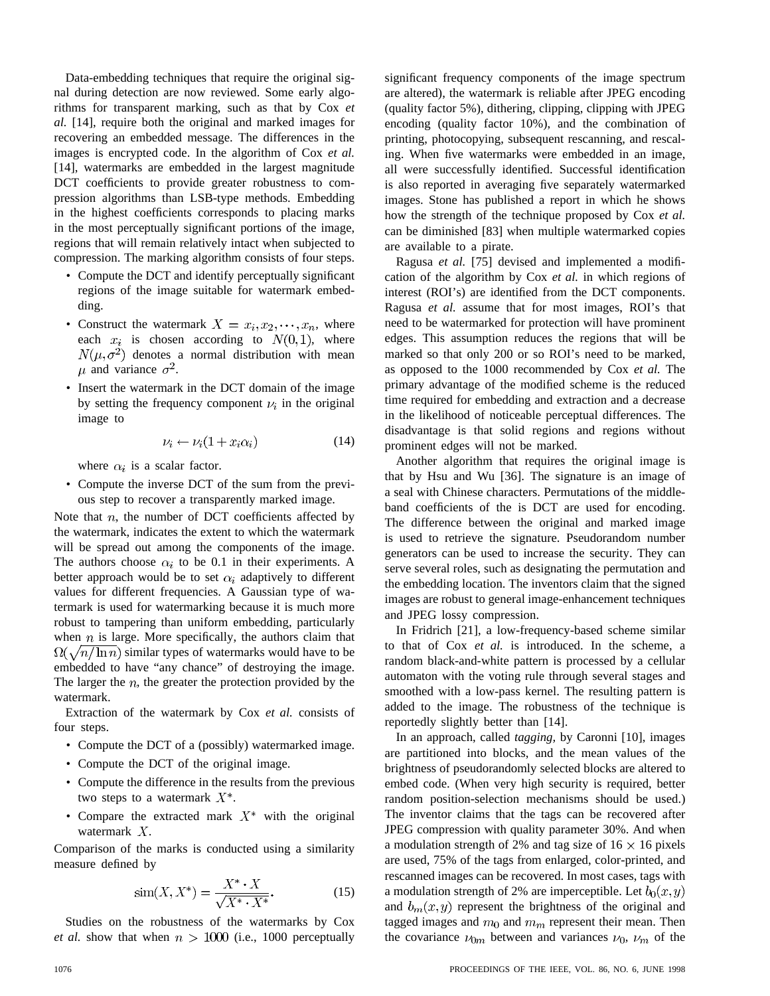Data-embedding techniques that require the original signal during detection are now reviewed. Some early algorithms for transparent marking, such as that by Cox *et al.* [14], require both the original and marked images for recovering an embedded message. The differences in the images is encrypted code. In the algorithm of Cox *et al.* [14], watermarks are embedded in the largest magnitude DCT coefficients to provide greater robustness to compression algorithms than LSB-type methods. Embedding in the highest coefficients corresponds to placing marks in the most perceptually significant portions of the image, regions that will remain relatively intact when subjected to compression. The marking algorithm consists of four steps.

- Compute the DCT and identify perceptually significant regions of the image suitable for watermark embedding.
- Construct the watermark  $X = x_i, x_2, \dots, x_n$ , where each  $x_i$  is chosen according to  $N(0, 1)$ , where  $N(\mu, \sigma^2)$  denotes a normal distribution with mean  $\mu$  and variance  $\sigma^2$ .
- Insert the watermark in the DCT domain of the image by setting the frequency component  $\nu_i$  in the original image to

$$
\nu_i \leftarrow \nu_i (1 + x_i \alpha_i) \tag{14}
$$

where  $\alpha_i$  is a scalar factor.

• Compute the inverse DCT of the sum from the previous step to recover a transparently marked image.

Note that  $n$ , the number of DCT coefficients affected by the watermark, indicates the extent to which the watermark will be spread out among the components of the image. The authors choose  $\alpha_i$  to be 0.1 in their experiments. A better approach would be to set  $\alpha_i$  adaptively to different values for different frequencies. A Gaussian type of watermark is used for watermarking because it is much more robust to tampering than uniform embedding, particularly when  $n$  is large. More specifically, the authors claim that  $\Omega(\sqrt{n}/\ln n)$  similar types of watermarks would have to be embedded to have "any chance" of destroying the image. The larger the  $n$ , the greater the protection provided by the watermark.

Extraction of the watermark by Cox *et al.* consists of four steps.

- Compute the DCT of a (possibly) watermarked image.
- Compute the DCT of the original image.
- Compute the difference in the results from the previous two steps to a watermark  $X^*$ .
- Compare the extracted mark  $X^*$  with the original watermark  $X$ .

Comparison of the marks is conducted using a similarity measure defined by

$$
\text{sim}(X, X^*) = \frac{X^* \cdot X}{\sqrt{X^* \cdot X^*}}.\tag{15}
$$

Studies on the robustness of the watermarks by Cox *et al.* show that when  $n > 1000$  (i.e., 1000 perceptually

significant frequency components of the image spectrum are altered), the watermark is reliable after JPEG encoding (quality factor 5%), dithering, clipping, clipping with JPEG encoding (quality factor 10%), and the combination of printing, photocopying, subsequent rescanning, and rescaling. When five watermarks were embedded in an image, all were successfully identified. Successful identification is also reported in averaging five separately watermarked images. Stone has published a report in which he shows how the strength of the technique proposed by Cox *et al.* can be diminished [83] when multiple watermarked copies are available to a pirate.

Ragusa *et al.* [75] devised and implemented a modification of the algorithm by Cox *et al.* in which regions of interest (ROI's) are identified from the DCT components. Ragusa *et al.* assume that for most images, ROI's that need to be watermarked for protection will have prominent edges. This assumption reduces the regions that will be marked so that only 200 or so ROI's need to be marked, as opposed to the 1000 recommended by Cox *et al.* The primary advantage of the modified scheme is the reduced time required for embedding and extraction and a decrease in the likelihood of noticeable perceptual differences. The disadvantage is that solid regions and regions without prominent edges will not be marked.

Another algorithm that requires the original image is that by Hsu and Wu [36]. The signature is an image of a seal with Chinese characters. Permutations of the middleband coefficients of the is DCT are used for encoding. The difference between the original and marked image is used to retrieve the signature. Pseudorandom number generators can be used to increase the security. They can serve several roles, such as designating the permutation and the embedding location. The inventors claim that the signed images are robust to general image-enhancement techniques and JPEG lossy compression.

In Fridrich [21], a low-frequency-based scheme similar to that of Cox *et al.* is introduced. In the scheme, a random black-and-white pattern is processed by a cellular automaton with the voting rule through several stages and smoothed with a low-pass kernel. The resulting pattern is added to the image. The robustness of the technique is reportedly slightly better than [14].

In an approach, called *tagging,* by Caronni [10], images are partitioned into blocks, and the mean values of the brightness of pseudorandomly selected blocks are altered to embed code. (When very high security is required, better random position-selection mechanisms should be used.) The inventor claims that the tags can be recovered after JPEG compression with quality parameter 30%. And when a modulation strength of 2% and tag size of  $16 \times 16$  pixels are used, 75% of the tags from enlarged, color-printed, and rescanned images can be recovered. In most cases, tags with a modulation strength of 2% are imperceptible. Let  $b_0(x, y)$ and  $b_m(x, y)$  represent the brightness of the original and tagged images and  $m_0$  and  $m_m$  represent their mean. Then the covariance  $\nu_{0m}$  between and variances  $\nu_0$ ,  $\nu_m$  of the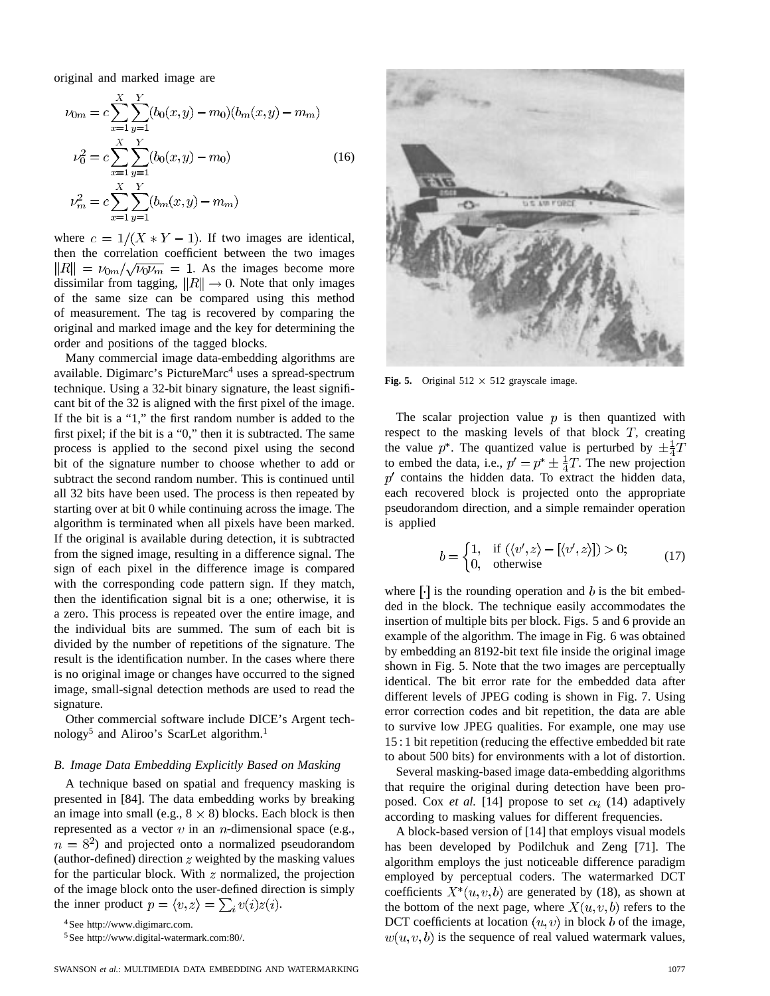original and marked image are

$$
\nu_{0m} = c \sum_{x=1}^{X} \sum_{y=1}^{Y} (b_0(x, y) - m_0)(b_m(x, y) - m_m)
$$
  

$$
\nu_0^2 = c \sum_{x=1}^{X} \sum_{y=1}^{Y} (b_0(x, y) - m_0)
$$
 (16)  

$$
\nu_m^2 = c \sum_{x=1}^{X} \sum_{y=1}^{Y} (b_m(x, y) - m_m)
$$

where  $c = 1/(X * Y - 1)$ . If two images are identical, then the correlation coefficient between the two images  $||R|| = \nu_{0m}/\sqrt{\nu_0 \nu_m} = 1$ . As the images become more dissimilar from tagging,  $||R|| \rightarrow 0$ . Note that only images of the same size can be compared using this method of measurement. The tag is recovered by comparing the original and marked image and the key for determining the order and positions of the tagged blocks.

Many commercial image data-embedding algorithms are available. Digimarc's PictureMarc<sup>4</sup> uses a spread-spectrum technique. Using a 32-bit binary signature, the least significant bit of the 32 is aligned with the first pixel of the image. If the bit is a "1," the first random number is added to the first pixel; if the bit is a "0," then it is subtracted. The same process is applied to the second pixel using the second bit of the signature number to choose whether to add or subtract the second random number. This is continued until all 32 bits have been used. The process is then repeated by starting over at bit 0 while continuing across the image. The algorithm is terminated when all pixels have been marked. If the original is available during detection, it is subtracted from the signed image, resulting in a difference signal. The sign of each pixel in the difference image is compared with the corresponding code pattern sign. If they match, then the identification signal bit is a one; otherwise, it is a zero. This process is repeated over the entire image, and the individual bits are summed. The sum of each bit is divided by the number of repetitions of the signature. The result is the identification number. In the cases where there is no original image or changes have occurred to the signed image, small-signal detection methods are used to read the signature.

Other commercial software include DICE's Argent technology<sup>5</sup> and Aliroo's ScarLet algorithm.<sup>1</sup>

#### *B. Image Data Embedding Explicitly Based on Masking*

A technique based on spatial and frequency masking is presented in [84]. The data embedding works by breaking an image into small (e.g.,  $8 \times 8$ ) blocks. Each block is then represented as a vector  $v$  in an  $n$ -dimensional space (e.g.,  $n = 8<sup>2</sup>$ ) and projected onto a normalized pseudorandom (author-defined) direction  $z$  weighted by the masking values for the particular block. With  $z$  normalized, the projection of the image block onto the user-defined direction is simply the inner product  $p = \langle v, z \rangle = \sum_i v(i)z(i)$ .

4See http://www.digimarc.com.



Fig. 5. Original  $512 \times 512$  grayscale image.

The scalar projection value  $p$  is then quantized with respect to the masking levels of that block  $T$ , creating the value  $p^*$ . The quantized value is perturbed by  $\pm \frac{1}{4}T$ to embed the data, i.e.,  $p' = p^* \pm \frac{1}{4}T$ . The new projection  $p'$  contains the hidden data. To extract the hidden data, each recovered block is projected onto the appropriate pseudorandom direction, and a simple remainder operation is applied

$$
b = \begin{cases} 1, & \text{if } (\langle v', z \rangle - [\langle v', z \rangle]) > 0; \\ 0, & \text{otherwise} \end{cases}
$$
(17)

where  $\lceil \cdot \rceil$  is the rounding operation and b is the bit embedded in the block. The technique easily accommodates the insertion of multiple bits per block. Figs. 5 and 6 provide an example of the algorithm. The image in Fig. 6 was obtained by embedding an 8192-bit text file inside the original image shown in Fig. 5. Note that the two images are perceptually identical. The bit error rate for the embedded data after different levels of JPEG coding is shown in Fig. 7. Using error correction codes and bit repetition, the data are able to survive low JPEG qualities. For example, one may use 15 : 1 bit repetition (reducing the effective embedded bit rate to about 500 bits) for environments with a lot of distortion.

Several masking-based image data-embedding algorithms that require the original during detection have been proposed. Cox *et al.* [14] propose to set  $\alpha_i$  (14) adaptively according to masking values for different frequencies.

A block-based version of [14] that employs visual models has been developed by Podilchuk and Zeng [71]. The algorithm employs the just noticeable difference paradigm employed by perceptual coders. The watermarked DCT coefficients  $X^*(u, v, b)$  are generated by (18), as shown at the bottom of the next page, where  $X(u, v, b)$  refers to the DCT coefficients at location  $(u, v)$  in block b of the image,  $w(u, v, b)$  is the sequence of real valued watermark values,

<sup>5</sup>See http://www.digital-watermark.com:80/.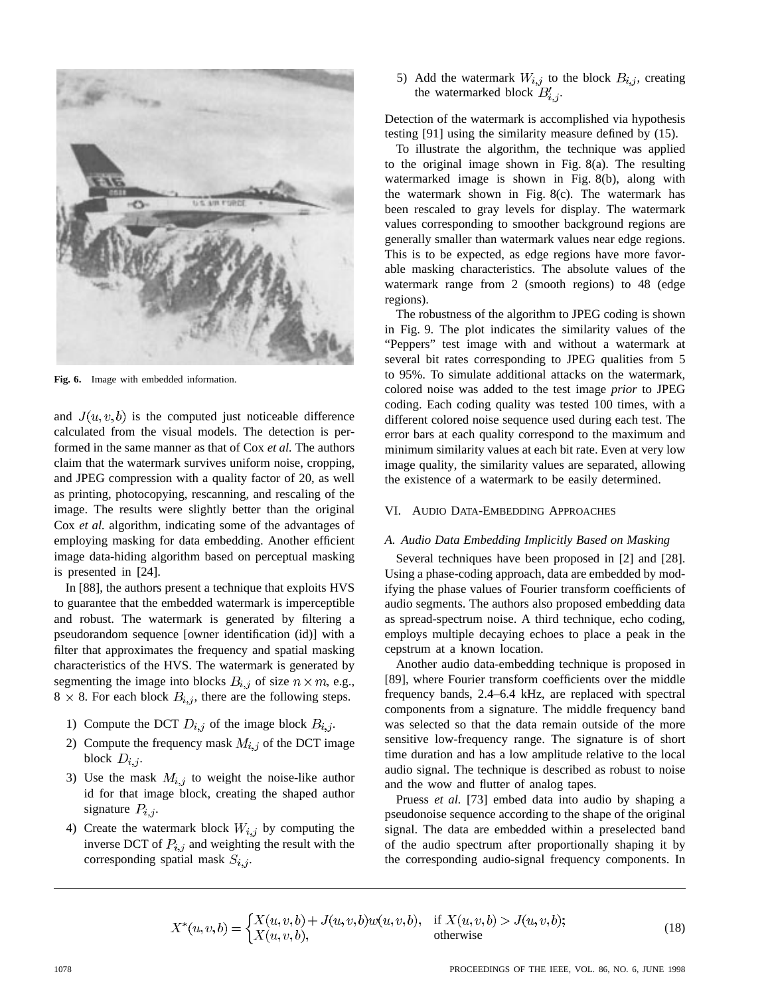

**Fig. 6.** Image with embedded information.

and  $J(u, v, b)$  is the computed just noticeable difference calculated from the visual models. The detection is performed in the same manner as that of Cox *et al.* The authors claim that the watermark survives uniform noise, cropping, and JPEG compression with a quality factor of 20, as well as printing, photocopying, rescanning, and rescaling of the image. The results were slightly better than the original Cox *et al.* algorithm, indicating some of the advantages of employing masking for data embedding. Another efficient image data-hiding algorithm based on perceptual masking is presented in [24].

In [88], the authors present a technique that exploits HVS to guarantee that the embedded watermark is imperceptible and robust. The watermark is generated by filtering a pseudorandom sequence [owner identification (id)] with a filter that approximates the frequency and spatial masking characteristics of the HVS. The watermark is generated by segmenting the image into blocks  $B_{i,j}$  of size  $n \times m$ , e.g.,  $8 \times 8$ . For each block  $B_{i,j}$ , there are the following steps.

- 1) Compute the DCT  $D_{i,j}$  of the image block  $B_{i,j}$ .
- 2) Compute the frequency mask  $M_{i,j}$  of the DCT image block  $D_{i,j}$ .
- 3) Use the mask  $M_{i,j}$  to weight the noise-like author id for that image block, creating the shaped author signature  $P_{i,j}$ .
- 4) Create the watermark block  $W_{i,j}$  by computing the inverse DCT of  $P_{i,j}$  and weighting the result with the corresponding spatial mask  $S_{i,j}$ .

5) Add the watermark  $W_{i,j}$  to the block  $B_{i,j}$ , creating the watermarked block  $B'_{i,j}$ .

Detection of the watermark is accomplished via hypothesis testing [91] using the similarity measure defined by (15).

To illustrate the algorithm, the technique was applied to the original image shown in Fig. 8(a). The resulting watermarked image is shown in Fig. 8(b), along with the watermark shown in Fig. 8(c). The watermark has been rescaled to gray levels for display. The watermark values corresponding to smoother background regions are generally smaller than watermark values near edge regions. This is to be expected, as edge regions have more favorable masking characteristics. The absolute values of the watermark range from 2 (smooth regions) to 48 (edge regions).

The robustness of the algorithm to JPEG coding is shown in Fig. 9. The plot indicates the similarity values of the "Peppers" test image with and without a watermark at several bit rates corresponding to JPEG qualities from 5 to 95%. To simulate additional attacks on the watermark, colored noise was added to the test image *prior* to JPEG coding. Each coding quality was tested 100 times, with a different colored noise sequence used during each test. The error bars at each quality correspond to the maximum and minimum similarity values at each bit rate. Even at very low image quality, the similarity values are separated, allowing the existence of a watermark to be easily determined.

## VI. AUDIO DATA-EMBEDDING APPROACHES

#### *A. Audio Data Embedding Implicitly Based on Masking*

Several techniques have been proposed in [2] and [28]. Using a phase-coding approach, data are embedded by modifying the phase values of Fourier transform coefficients of audio segments. The authors also proposed embedding data as spread-spectrum noise. A third technique, echo coding, employs multiple decaying echoes to place a peak in the cepstrum at a known location.

Another audio data-embedding technique is proposed in [89], where Fourier transform coefficients over the middle frequency bands, 2.4–6.4 kHz, are replaced with spectral components from a signature. The middle frequency band was selected so that the data remain outside of the more sensitive low-frequency range. The signature is of short time duration and has a low amplitude relative to the local audio signal. The technique is described as robust to noise and the wow and flutter of analog tapes.

Pruess *et al.* [73] embed data into audio by shaping a pseudonoise sequence according to the shape of the original signal. The data are embedded within a preselected band of the audio spectrum after proportionally shaping it by the corresponding audio-signal frequency components. In

$$
X^*(u, v, b) = \begin{cases} X(u, v, b) + J(u, v, b)w(u, v, b), & \text{if } X(u, v, b) > J(u, v, b); \\ X(u, v, b), & \text{otherwise} \end{cases}
$$
(18)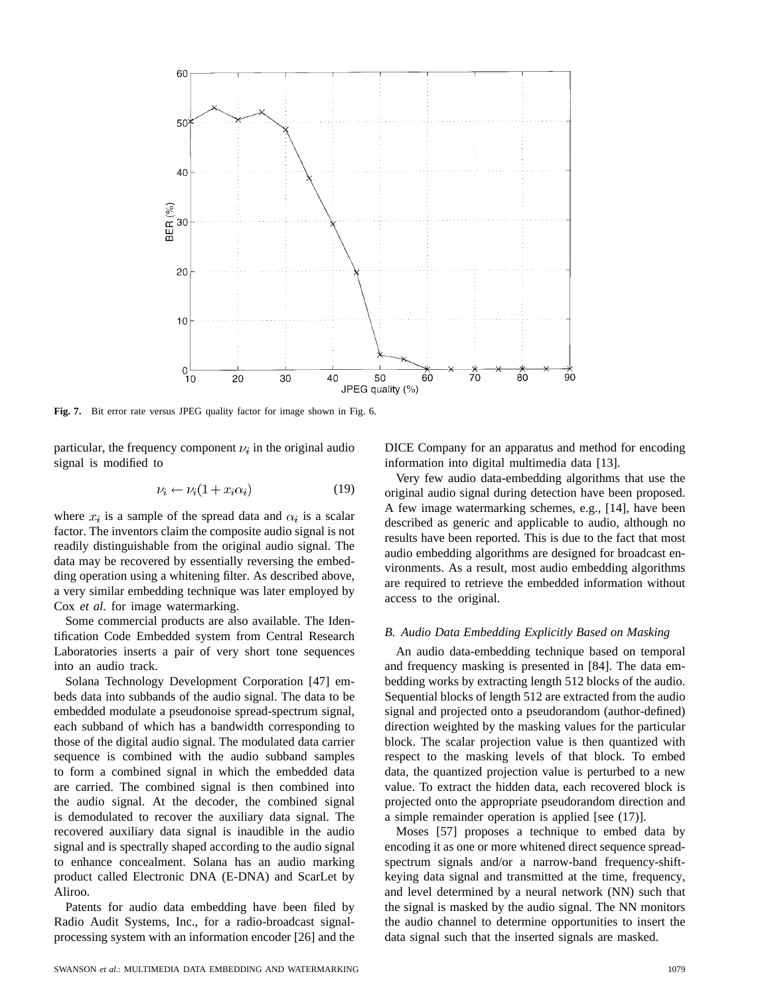

**Fig. 7.** Bit error rate versus JPEG quality factor for image shown in Fig. 6.

particular, the frequency component  $\nu_i$  in the original audio signal is modified to

$$
\nu_i \leftarrow \nu_i (1 + x_i \alpha_i) \tag{19}
$$

where  $x_i$  is a sample of the spread data and  $\alpha_i$  is a scalar factor. The inventors claim the composite audio signal is not readily distinguishable from the original audio signal. The data may be recovered by essentially reversing the embedding operation using a whitening filter. As described above, a very similar embedding technique was later employed by Cox *et al.* for image watermarking.

Some commercial products are also available. The Identification Code Embedded system from Central Research Laboratories inserts a pair of very short tone sequences into an audio track.

Solana Technology Development Corporation [47] embeds data into subbands of the audio signal. The data to be embedded modulate a pseudonoise spread-spectrum signal, each subband of which has a bandwidth corresponding to those of the digital audio signal. The modulated data carrier sequence is combined with the audio subband samples to form a combined signal in which the embedded data are carried. The combined signal is then combined into the audio signal. At the decoder, the combined signal is demodulated to recover the auxiliary data signal. The recovered auxiliary data signal is inaudible in the audio signal and is spectrally shaped according to the audio signal to enhance concealment. Solana has an audio marking product called Electronic DNA (E-DNA) and ScarLet by Aliroo.

Patents for audio data embedding have been filed by Radio Audit Systems, Inc., for a radio-broadcast signalprocessing system with an information encoder [26] and the DICE Company for an apparatus and method for encoding information into digital multimedia data [13].

Very few audio data-embedding algorithms that use the original audio signal during detection have been proposed. A few image watermarking schemes, e.g., [14], have been described as generic and applicable to audio, although no results have been reported. This is due to the fact that most audio embedding algorithms are designed for broadcast environments. As a result, most audio embedding algorithms are required to retrieve the embedded information without access to the original.

#### *B. Audio Data Embedding Explicitly Based on Masking*

An audio data-embedding technique based on temporal and frequency masking is presented in [84]. The data embedding works by extracting length 512 blocks of the audio. Sequential blocks of length 512 are extracted from the audio signal and projected onto a pseudorandom (author-defined) direction weighted by the masking values for the particular block. The scalar projection value is then quantized with respect to the masking levels of that block. To embed data, the quantized projection value is perturbed to a new value. To extract the hidden data, each recovered block is projected onto the appropriate pseudorandom direction and a simple remainder operation is applied [see (17)].

Moses [57] proposes a technique to embed data by encoding it as one or more whitened direct sequence spreadspectrum signals and/or a narrow-band frequency-shiftkeying data signal and transmitted at the time, frequency, and level determined by a neural network (NN) such that the signal is masked by the audio signal. The NN monitors the audio channel to determine opportunities to insert the data signal such that the inserted signals are masked.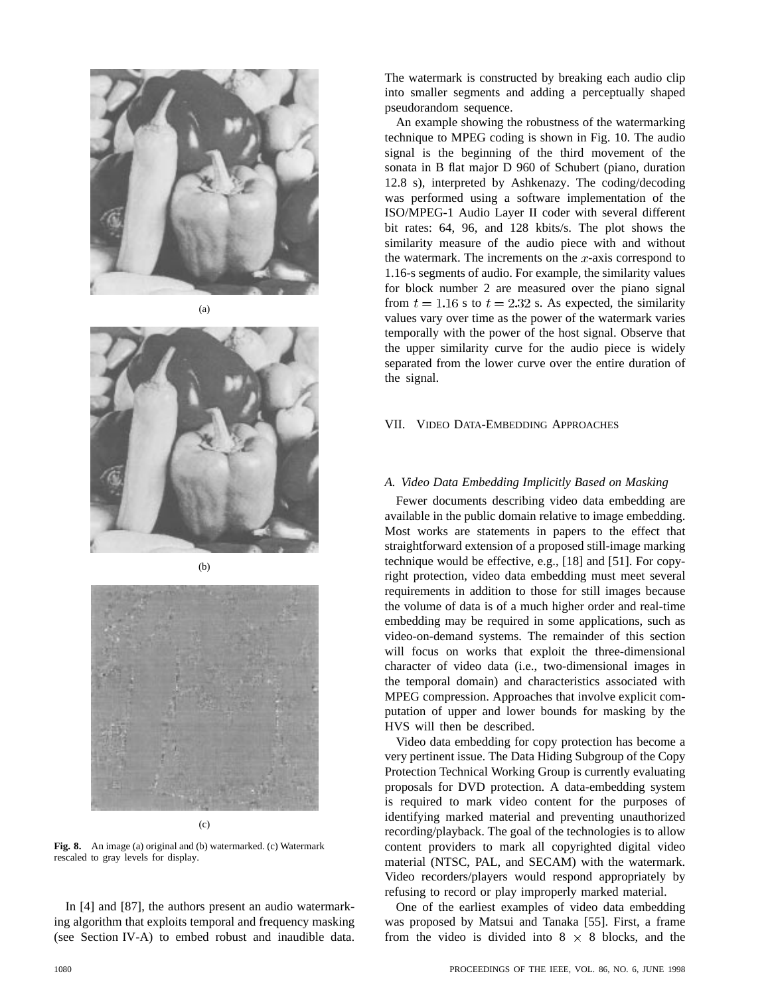

(a)





(c)

**Fig. 8.** An image (a) original and (b) watermarked. (c) Watermark rescaled to gray levels for display.

In [4] and [87], the authors present an audio watermarking algorithm that exploits temporal and frequency masking (see Section IV-A) to embed robust and inaudible data. The watermark is constructed by breaking each audio clip into smaller segments and adding a perceptually shaped pseudorandom sequence.

An example showing the robustness of the watermarking technique to MPEG coding is shown in Fig. 10. The audio signal is the beginning of the third movement of the sonata in B flat major D 960 of Schubert (piano, duration 12.8 s), interpreted by Ashkenazy. The coding/decoding was performed using a software implementation of the ISO/MPEG-1 Audio Layer II coder with several different bit rates: 64, 96, and 128 kbits/s. The plot shows the similarity measure of the audio piece with and without the watermark. The increments on the  $x$ -axis correspond to 1.16-s segments of audio. For example, the similarity values for block number 2 are measured over the piano signal from  $t = 1.16$  s to  $t = 2.32$  s. As expected, the similarity values vary over time as the power of the watermark varies temporally with the power of the host signal. Observe that the upper similarity curve for the audio piece is widely separated from the lower curve over the entire duration of the signal.

# VII. VIDEO DATA-EMBEDDING APPROACHES

# *A. Video Data Embedding Implicitly Based on Masking*

Fewer documents describing video data embedding are available in the public domain relative to image embedding. Most works are statements in papers to the effect that straightforward extension of a proposed still-image marking technique would be effective, e.g., [18] and [51]. For copyright protection, video data embedding must meet several requirements in addition to those for still images because the volume of data is of a much higher order and real-time embedding may be required in some applications, such as video-on-demand systems. The remainder of this section will focus on works that exploit the three-dimensional character of video data (i.e., two-dimensional images in the temporal domain) and characteristics associated with MPEG compression. Approaches that involve explicit computation of upper and lower bounds for masking by the HVS will then be described.

Video data embedding for copy protection has become a very pertinent issue. The Data Hiding Subgroup of the Copy Protection Technical Working Group is currently evaluating proposals for DVD protection. A data-embedding system is required to mark video content for the purposes of identifying marked material and preventing unauthorized recording/playback. The goal of the technologies is to allow content providers to mark all copyrighted digital video material (NTSC, PAL, and SECAM) with the watermark. Video recorders/players would respond appropriately by refusing to record or play improperly marked material.

One of the earliest examples of video data embedding was proposed by Matsui and Tanaka [55]. First, a frame from the video is divided into  $8 \times 8$  blocks, and the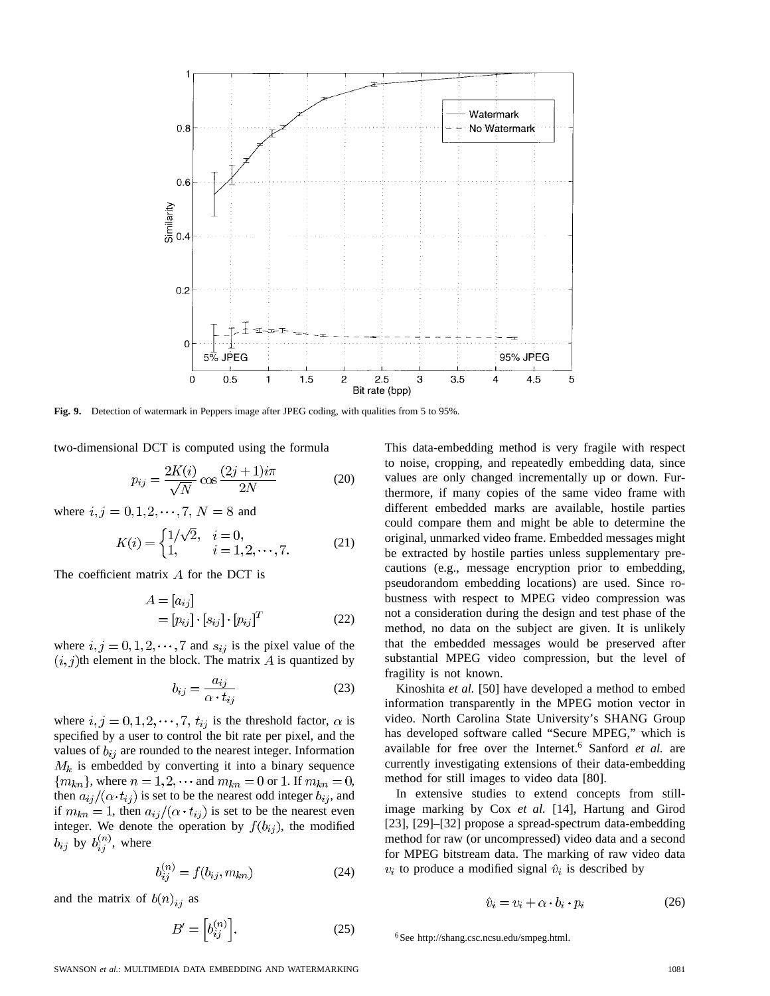

**Fig. 9.** Detection of watermark in Peppers image after JPEG coding, with qualities from 5 to 95%.

two-dimensional DCT is computed using the formula

$$
p_{ij} = \frac{2K(i)}{\sqrt{N}} \cos \frac{(2j+1)i\pi}{2N}
$$
 (20)

where  $i, j = 0, 1, 2, \dots, 7, N = 8$  and

$$
K(i) = \begin{cases} 1/\sqrt{2}, & i = 0, \\ 1, & i = 1, 2, \cdots, 7. \end{cases}
$$
 (21)

The coefficient matrix  $A$  for the DCT is

$$
A = [a_{ij}]
$$
  
=  $[p_{ij}] \cdot [s_{ij}] \cdot [p_{ij}]^T$  (22)

where  $i, j = 0, 1, 2, \dots, 7$  and  $s_{ij}$  is the pixel value of the  $(i, j)$ th element in the block. The matrix A is quantized by

$$
b_{ij} = \frac{a_{ij}}{\alpha \cdot t_{ij}}\tag{23}
$$

where  $i, j = 0, 1, 2, \dots, 7, t_{ij}$  is the threshold factor,  $\alpha$  is specified by a user to control the bit rate per pixel, and the values of  $b_{ij}$  are rounded to the nearest integer. Information  $M_k$  is embedded by converting it into a binary sequence  $\{m_{kn}\}\text{, where } n = 1, 2, \cdots \text{ and } m_{kn} = 0 \text{ or } 1. \text{ If } m_{kn} = 0,$ then  $a_{ij}/(\alpha \cdot t_{ij})$  is set to be the nearest odd integer  $b_{ij}$ , and if  $m_{kn} = 1$ , then  $a_{ij}/(\alpha \cdot t_{ij})$  is set to be the nearest even integer. We denote the operation by  $f(b_{ij})$ , the modified  $b_{ij}$  by  $b_{ij}^{(n)}$ , where

$$
b_{ij}^{(n)} = f(b_{ij}, m_{kn})
$$
 (24)

and the matrix of  $b(n)_{ii}$  as

$$
B' = \left[ b_{ij}^{(n)} \right].
$$
 (25)

This data-embedding method is very fragile with respect to noise, cropping, and repeatedly embedding data, since values are only changed incrementally up or down. Furthermore, if many copies of the same video frame with different embedded marks are available, hostile parties could compare them and might be able to determine the original, unmarked video frame. Embedded messages might be extracted by hostile parties unless supplementary precautions (e.g., message encryption prior to embedding, pseudorandom embedding locations) are used. Since robustness with respect to MPEG video compression was not a consideration during the design and test phase of the method, no data on the subject are given. It is unlikely that the embedded messages would be preserved after substantial MPEG video compression, but the level of fragility is not known.

Kinoshita *et al.* [50] have developed a method to embed information transparently in the MPEG motion vector in video. North Carolina State University's SHANG Group has developed software called "Secure MPEG," which is available for free over the Internet.<sup>6</sup> Sanford *et al.* are currently investigating extensions of their data-embedding method for still images to video data [80].

In extensive studies to extend concepts from stillimage marking by Cox *et al.* [14], Hartung and Girod [23], [29]–[32] propose a spread-spectrum data-embedding method for raw (or uncompressed) video data and a second for MPEG bitstream data. The marking of raw video data  $v_i$  to produce a modified signal  $\hat{v}_i$  is described by

$$
\hat{v}_i = v_i + \alpha \cdot b_i \cdot p_i \tag{26}
$$

6See http://shang.csc.ncsu.edu/smpeg.html.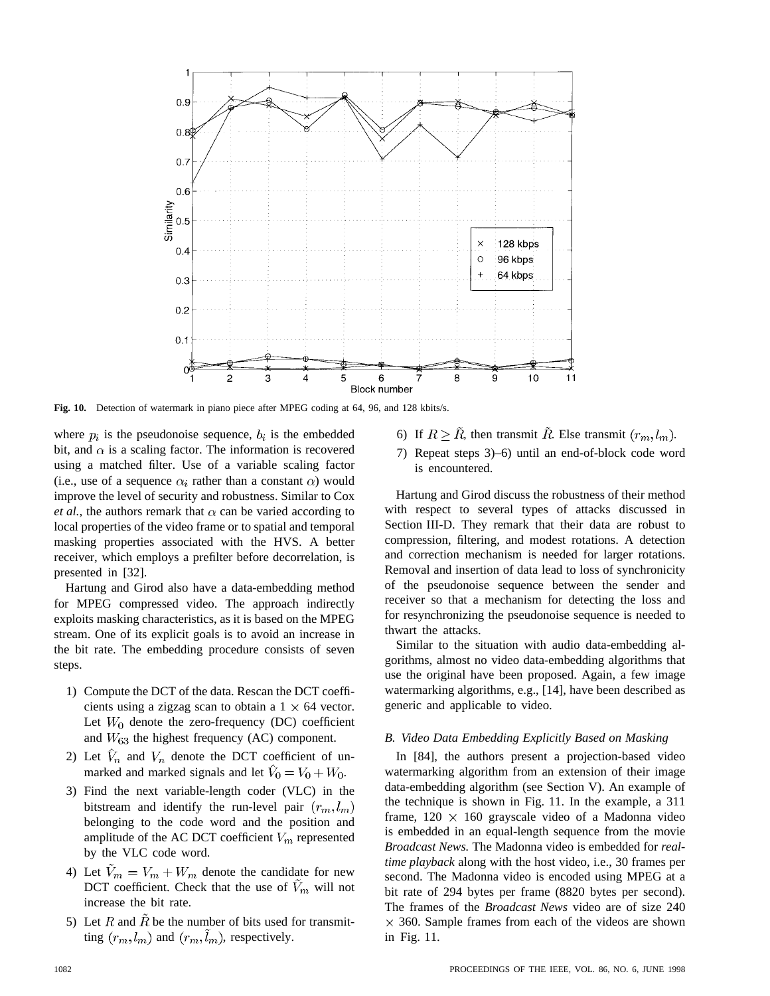

**Fig. 10.** Detection of watermark in piano piece after MPEG coding at 64, 96, and 128 kbits/s.

where  $p_i$  is the pseudonoise sequence,  $b_i$  is the embedded bit, and  $\alpha$  is a scaling factor. The information is recovered using a matched filter. Use of a variable scaling factor (i.e., use of a sequence  $\alpha_i$  rather than a constant  $\alpha$ ) would improve the level of security and robustness. Similar to Cox *et al.,* the authors remark that  $\alpha$  can be varied according to local properties of the video frame or to spatial and temporal masking properties associated with the HVS. A better receiver, which employs a prefilter before decorrelation, is presented in [32].

Hartung and Girod also have a data-embedding method for MPEG compressed video. The approach indirectly exploits masking characteristics, as it is based on the MPEG stream. One of its explicit goals is to avoid an increase in the bit rate. The embedding procedure consists of seven steps.

- 1) Compute the DCT of the data. Rescan the DCT coefficients using a zigzag scan to obtain a  $1 \times 64$  vector. Let  $W_0$  denote the zero-frequency (DC) coefficient and  $W_{63}$  the highest frequency (AC) component.
- 2) Let  $V_n$  and  $V_n$  denote the DCT coefficient of unmarked and marked signals and let  $V_0 = V_0 + W_0$ .
- 3) Find the next variable-length coder (VLC) in the bitstream and identify the run-level pair  $(r_m, l_m)$ belonging to the code word and the position and amplitude of the AC DCT coefficient  $V_m$  represented by the VLC code word.
- 4) Let  $\tilde{V}_m = V_m + W_m$  denote the candidate for new DCT coefficient. Check that the use of  $V_m$  will not increase the bit rate.
- 5) Let R and  $\hat{R}$  be the number of bits used for transmitting  $(r_m, l_m)$  and  $(r_m, l_m)$ , respectively.
- 6) If  $R \geq \tilde{R}$ , then transmit  $\tilde{R}$ . Else transmit  $(r_m, l_m)$ .
- 7) Repeat steps 3)–6) until an end-of-block code word is encountered.

Hartung and Girod discuss the robustness of their method with respect to several types of attacks discussed in Section III-D. They remark that their data are robust to compression, filtering, and modest rotations. A detection and correction mechanism is needed for larger rotations. Removal and insertion of data lead to loss of synchronicity of the pseudonoise sequence between the sender and receiver so that a mechanism for detecting the loss and for resynchronizing the pseudonoise sequence is needed to thwart the attacks.

Similar to the situation with audio data-embedding algorithms, almost no video data-embedding algorithms that use the original have been proposed. Again, a few image watermarking algorithms, e.g., [14], have been described as generic and applicable to video.

# *B. Video Data Embedding Explicitly Based on Masking*

In [84], the authors present a projection-based video watermarking algorithm from an extension of their image data-embedding algorithm (see Section V). An example of the technique is shown in Fig. 11. In the example, a 311 frame,  $120 \times 160$  grayscale video of a Madonna video is embedded in an equal-length sequence from the movie *Broadcast News.* The Madonna video is embedded for *realtime playback* along with the host video, i.e., 30 frames per second. The Madonna video is encoded using MPEG at a bit rate of 294 bytes per frame (8820 bytes per second). The frames of the *Broadcast News* video are of size 240  $\times$  360. Sample frames from each of the videos are shown in Fig. 11.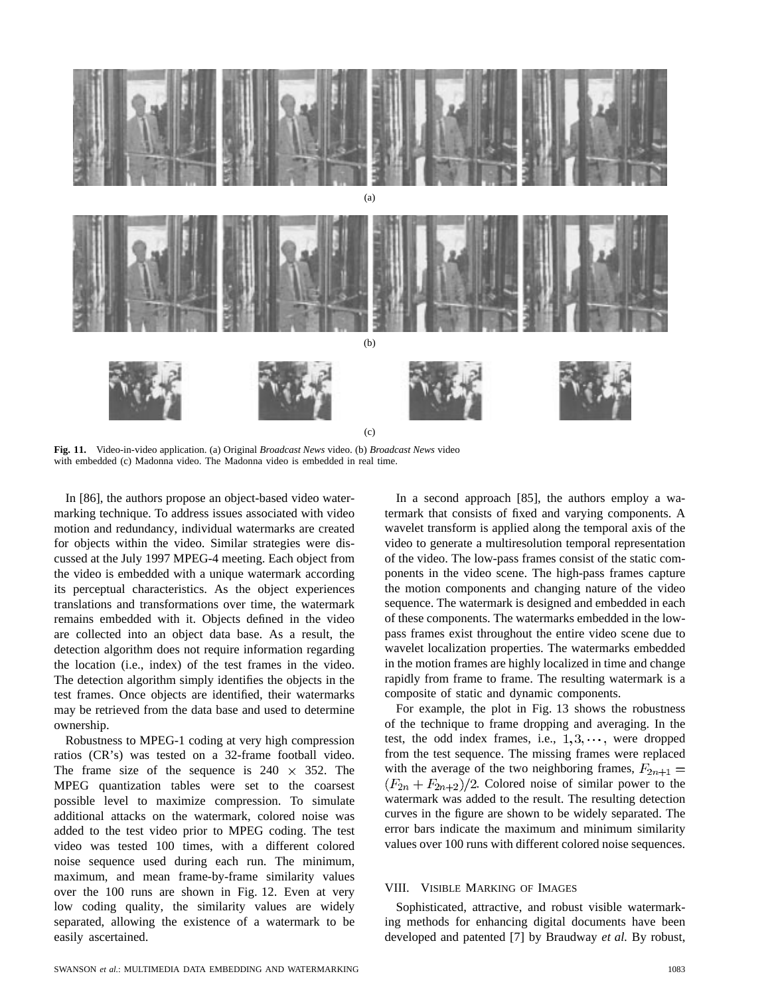

**Fig. 11.** Video-in-video application. (a) Original *Broadcast News* video. (b) *Broadcast News* video with embedded (c) Madonna video. The Madonna video is embedded in real time.

In [86], the authors propose an object-based video watermarking technique. To address issues associated with video motion and redundancy, individual watermarks are created for objects within the video. Similar strategies were discussed at the July 1997 MPEG-4 meeting. Each object from the video is embedded with a unique watermark according its perceptual characteristics. As the object experiences translations and transformations over time, the watermark remains embedded with it. Objects defined in the video are collected into an object data base. As a result, the detection algorithm does not require information regarding the location (i.e., index) of the test frames in the video. The detection algorithm simply identifies the objects in the test frames. Once objects are identified, their watermarks may be retrieved from the data base and used to determine ownership.

Robustness to MPEG-1 coding at very high compression ratios (CR's) was tested on a 32-frame football video. The frame size of the sequence is  $240 \times 352$ . The MPEG quantization tables were set to the coarsest possible level to maximize compression. To simulate additional attacks on the watermark, colored noise was added to the test video prior to MPEG coding. The test video was tested 100 times, with a different colored noise sequence used during each run. The minimum, maximum, and mean frame-by-frame similarity values over the 100 runs are shown in Fig. 12. Even at very low coding quality, the similarity values are widely separated, allowing the existence of a watermark to be easily ascertained.

In a second approach [85], the authors employ a watermark that consists of fixed and varying components. A wavelet transform is applied along the temporal axis of the video to generate a multiresolution temporal representation of the video. The low-pass frames consist of the static components in the video scene. The high-pass frames capture the motion components and changing nature of the video sequence. The watermark is designed and embedded in each of these components. The watermarks embedded in the lowpass frames exist throughout the entire video scene due to wavelet localization properties. The watermarks embedded in the motion frames are highly localized in time and change rapidly from frame to frame. The resulting watermark is a composite of static and dynamic components.

For example, the plot in Fig. 13 shows the robustness of the technique to frame dropping and averaging. In the test, the odd index frames, i.e.,  $1, 3, \dots$ , were dropped from the test sequence. The missing frames were replaced with the average of the two neighboring frames,  $F_{2n+1} =$  $(F_{2n} + F_{2n+2})/2$ . Colored noise of similar power to the watermark was added to the result. The resulting detection curves in the figure are shown to be widely separated. The error bars indicate the maximum and minimum similarity values over 100 runs with different colored noise sequences.

#### VIII. VISIBLE MARKING OF IMAGES

Sophisticated, attractive, and robust visible watermarking methods for enhancing digital documents have been developed and patented [7] by Braudway *et al.* By robust,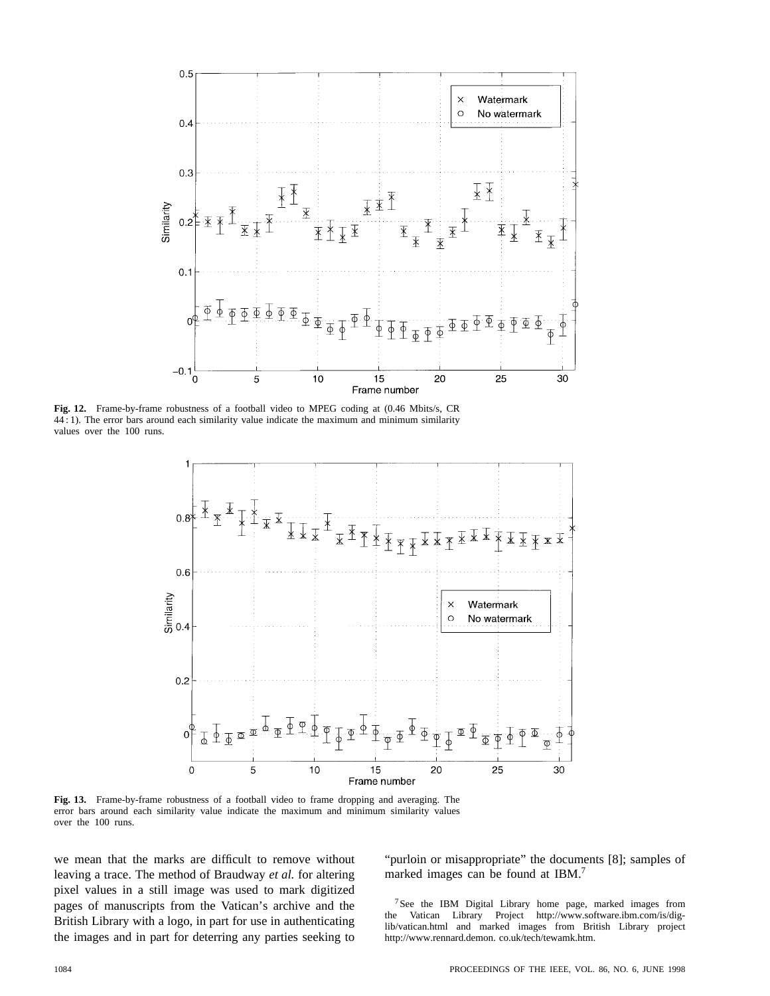

**Fig. 12.** Frame-by-frame robustness of a football video to MPEG coding at (0.46 Mbits/s, CR 44 : 1). The error bars around each similarity value indicate the maximum and minimum similarity values over the 100 runs.



**Fig. 13.** Frame-by-frame robustness of a football video to frame dropping and averaging. The error bars around each similarity value indicate the maximum and minimum similarity values over the 100 runs.

we mean that the marks are difficult to remove without leaving a trace. The method of Braudway *et al.* for altering pixel values in a still image was used to mark digitized pages of manuscripts from the Vatican's archive and the British Library with a logo, in part for use in authenticating the images and in part for deterring any parties seeking to

"purloin or misappropriate" the documents [8]; samples of marked images can be found at IBM.7

7See the IBM Digital Library home page, marked images from the Vatican Library Project http://www.software.ibm.com/is/diglib/vatican.html and marked images from British Library project http://www.rennard.demon. co.uk/tech/tewamk.htm.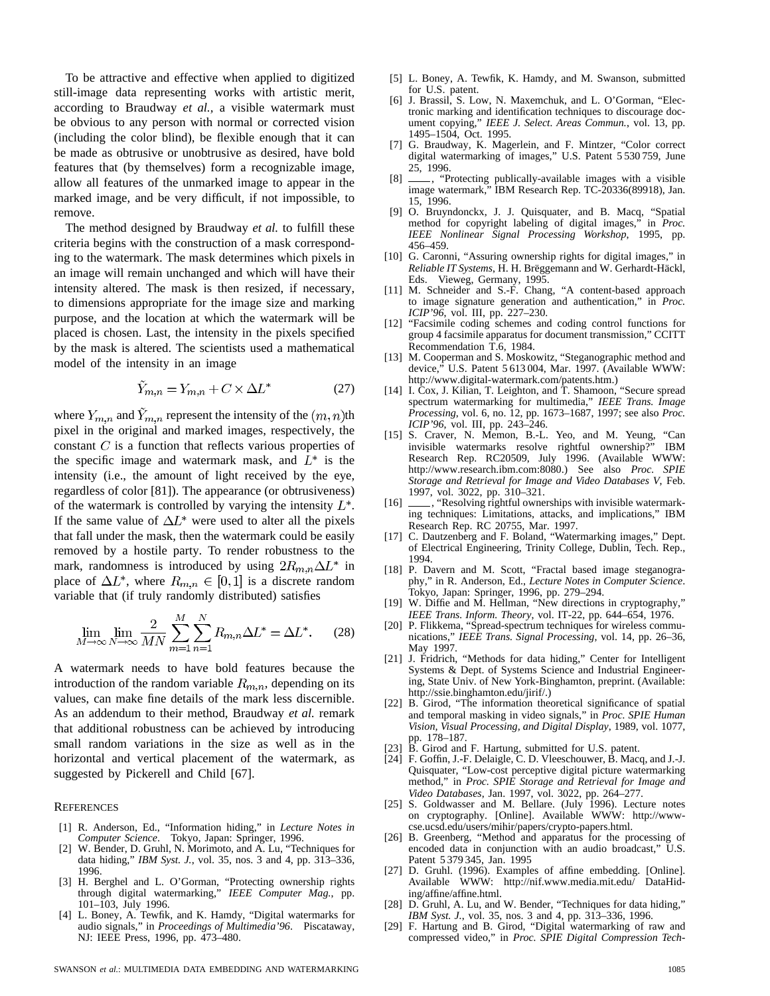To be attractive and effective when applied to digitized still-image data representing works with artistic merit, according to Braudway *et al.,* a visible watermark must be obvious to any person with normal or corrected vision (including the color blind), be flexible enough that it can be made as obtrusive or unobtrusive as desired, have bold features that (by themselves) form a recognizable image, allow all features of the unmarked image to appear in the marked image, and be very difficult, if not impossible, to remove.

The method designed by Braudway *et al.* to fulfill these criteria begins with the construction of a mask corresponding to the watermark. The mask determines which pixels in an image will remain unchanged and which will have their intensity altered. The mask is then resized, if necessary, to dimensions appropriate for the image size and marking purpose, and the location at which the watermark will be placed is chosen. Last, the intensity in the pixels specified by the mask is altered. The scientists used a mathematical model of the intensity in an image

$$
\tilde{Y}_{m,n} = Y_{m,n} + C \times \Delta L^* \tag{27}
$$

where  $Y_{m,n}$  and  $\tilde{Y}_{m,n}$  represent the intensity of the  $(m, n)$ th pixel in the original and marked images, respectively, the constant  $C$  is a function that reflects various properties of the specific image and watermark mask, and  $L^*$  is the intensity (i.e., the amount of light received by the eye, regardless of color [81]). The appearance (or obtrusiveness) of the watermark is controlled by varying the intensity  $L^*$ . If the same value of  $\Delta L^*$  were used to alter all the pixels that fall under the mask, then the watermark could be easily removed by a hostile party. To render robustness to the mark, randomness is introduced by using  $2R_{m,n}\Delta L^*$  in place of  $\Delta L^*$ , where  $R_{m,n} \in [0,1]$  is a discrete random variable that (if truly randomly distributed) satisfies

$$
\lim_{M \to \infty} \lim_{N \to \infty} \frac{2}{MN} \sum_{m=1}^{M} \sum_{n=1}^{N} R_{m,n} \Delta L^* = \Delta L^*.
$$
 (28)

A watermark needs to have bold features because the introduction of the random variable  $R_{m,n}$ , depending on its values, can make fine details of the mark less discernible. As an addendum to their method, Braudway *et al.* remark that additional robustness can be achieved by introducing small random variations in the size as well as in the horizontal and vertical placement of the watermark, as suggested by Pickerell and Child [67].

# **REFERENCES**

- [1] R. Anderson, Ed., "Information hiding," in *Lecture Notes in Computer Science*. Tokyo, Japan: Springer, 1996.
- W. Bender, D. Gruhl, N. Morimoto, and A. Lu, "Techniques for data hiding," *IBM Syst. J.*, vol. 35, nos. 3 and 4, pp. 313–336, 1996.
- [3] H. Berghel and L. O'Gorman, "Protecting ownership rights through digital watermarking," *IEEE Computer Mag.*, pp. 101–103, July 1996.
- [4] L. Boney, A. Tewfik, and K. Hamdy, "Digital watermarks for audio signals," in *Proceedings of Multimedia'96*. Piscataway, NJ: IEEE Press, 1996, pp. 473–480.
- [5] L. Boney, A. Tewfik, K. Hamdy, and M. Swanson, submitted for U.S. patent.
- [6] J. Brassil, S. Low, N. Maxemchuk, and L. O'Gorman, "Electronic marking and identification techniques to discourage document copying," *IEEE J. Select. Areas Commun.*, vol. 13, pp. 1495–1504, Oct. 1995.
- [7] G. Braudway, K. Magerlein, and F. Mintzer, "Color correct digital watermarking of images," U.S. Patent 5 530 759, June 25, 1996.
- [8]  $\_\_\_\$ , "Protecting publically-available images with a visible image watermark," IBM Research Rep. TC-20336(89918), Jan. 15, 1996.
- [9] O. Bruyndonckx, J. J. Quisquater, and B. Macq, "Spatial method for copyright labeling of digital images," in *Proc. IEEE Nonlinear Signal Processing Workshop*, 1995, pp. 456–459.
- [10] G. Caronni, "Assuring ownership rights for digital images," in *Reliable IT Systems*, H. H. Breggemann and W. Gerhardt-Häckl, Eds. Vieweg, Germany, 1995.
- [11] M. Schneider and S.-F. Chang, "A content-based approach to image signature generation and authentication," in *Proc. ICIP'96*, vol. III, pp. 227–230.
- [12] "Facsimile coding schemes and coding control functions for group 4 facsimile apparatus for document transmission," CCITT Recommendation T.6, 1984.
- [13] M. Cooperman and S. Moskowitz, "Steganographic method and device," U.S. Patent 5 613 004, Mar. 1997. (Available WWW: http://www.digital-watermark.com/patents.htm.)
- [14] I. Cox, J. Kilian, T. Leighton, and T. Shamoon, "Secure spread spectrum watermarking for multimedia," *IEEE Trans. Image Processing*, vol. 6, no. 12, pp. 1673–1687, 1997; see also *Proc. ICIP'96*, vol. III, pp. 243–246.
- [15] S. Craver, N. Memon, B.-L. Yeo, and M. Yeung, "Can invisible watermarks resolve rightful ownership?" IBM Research Rep. RC20509, July 1996. (Available WWW: http://www.research.ibm.com:8080.) See also *Proc. SPIE Storage and Retrieval for Image and Video Databases V*, Feb. 1997, vol. 3022, pp. 310–321.
- [16]  $\_\_\_\$ , "Resolving rightful ownerships with invisible watermarking techniques: Limitations, attacks, and implications," IBM Research Rep. RC 20755, Mar. 1997.
- [17] C. Dautzenberg and F. Boland, "Watermarking images," Dept. of Electrical Engineering, Trinity College, Dublin, Tech. Rep., 1994.
- [18] P. Davern and M. Scott, "Fractal based image steganography," in R. Anderson, Ed., *Lecture Notes in Computer Science*. Tokyo, Japan: Springer, 1996, pp. 279–294.
- [19] W. Diffie and M. Hellman, "New directions in cryptography," *IEEE Trans. Inform. Theory*, vol. IT-22, pp. 644–654, 1976.
- [20] P. Flikkema, "Spread-spectrum techniques for wireless communications," *IEEE Trans. Signal Processing*, vol. 14, pp. 26–36, May 1997.
- [21] J. Fridrich, "Methods for data hiding," Center for Intelligent Systems & Dept. of Systems Science and Industrial Engineering, State Univ. of New York-Binghamton, preprint. (Available: http://ssie.binghamton.edu/jirif/.)
- [22] B. Girod, "The information theoretical significance of spatial and temporal masking in video signals," in *Proc. SPIE Human Vision, Visual Processing, and Digital Display*, 1989, vol. 1077, pp. 178–187.
- [23] B. Girod and F. Hartung, submitted for U.S. patent.
- [24] F. Goffin, J.-F. Delaigle, C. D. Vleeschouwer, B. Macq, and J.-J. Quisquater, "Low-cost perceptive digital picture watermarking method," in *Proc. SPIE Storage and Retrieval for Image and Video Databases*, Jan. 1997, vol. 3022, pp. 264–277.
- [25] S. Goldwasser and M. Bellare. (July 1996). Lecture notes on cryptography. [Online]. Available WWW: http://wwwcse.ucsd.edu/users/mihir/papers/crypto-papers.html.
- [26] B. Greenberg, "Method and apparatus for the processing of encoded data in conjunction with an audio broadcast," U.S. Patent 5 379 345, Jan. 1995
- [27] D. Gruhl. (1996). Examples of affine embedding. [Online]. Available WWW: http://nif.www.media.mit.edu/ DataHiding/affine/affine.html.
- [28] D. Gruhl, A. Lu, and W. Bender, "Techniques for data hiding," *IBM Syst. J.*, vol. 35, nos. 3 and 4, pp. 313–336, 1996.
- [29] F. Hartung and B. Girod, "Digital watermarking of raw and compressed video," in *Proc. SPIE Digital Compression Tech-*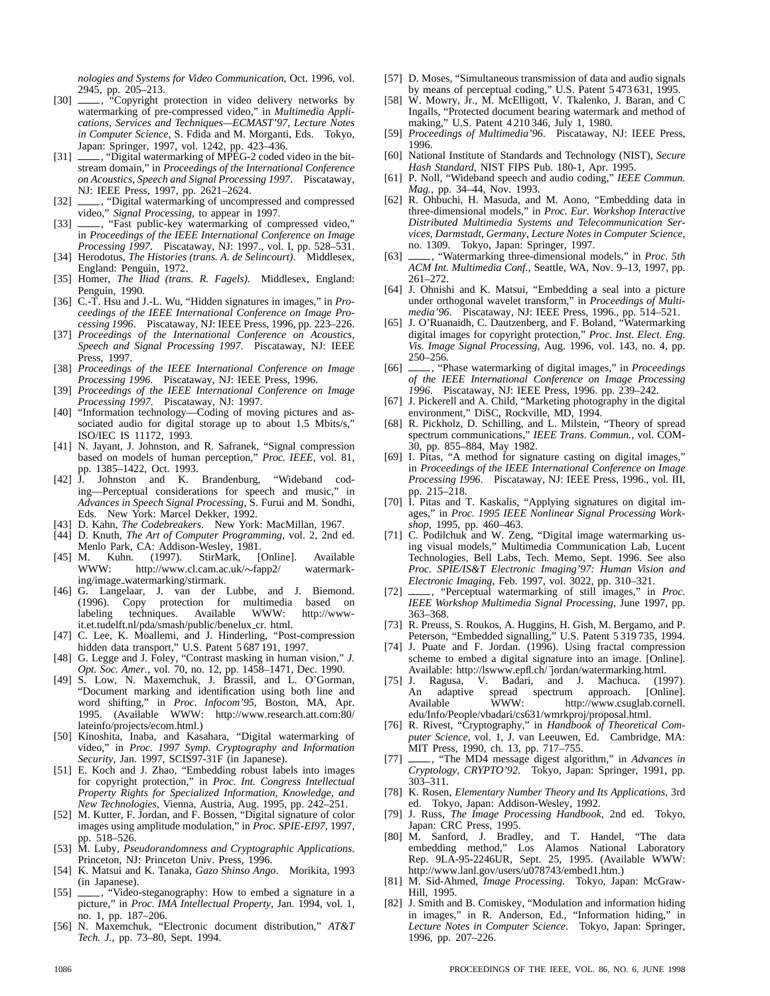*nologies and Systems for Video Communication*, Oct. 1996, vol. 2945, pp. 205–213.

- [30]  $\_\_\_\$ , "Copyright protection in video delivery networks by watermarking of pre-compressed video," in *Multimedia Applications, Services and Techniques—ECMAST'97, Lecture Notes in Computer Science*, S. Fdida and M. Morganti, Eds. Tokyo, Japan: Springer, 1997, vol. 1242, pp. 423–436.
- [31]  $\frac{1}{\sqrt{2}}$ , "Digital watermarking of MPEG-2 coded video in the bitstream domain," in *Proceedings of the International Conference on Acoustics, Speech and Signal Processing 1997*. Piscataway, NJ: IEEE Press, 1997, pp. 2621–2624.
- [32] \_\_\_\_, "Digital watermarking of uncompressed and compressed video," *Signal Processing*, to appear in 1997.
- [33] \_\_\_\_, "Fast public-key watermarking of compressed video," in *Proceedings of the IEEE International Conference on Image Processing 1997*. Piscataway, NJ: 1997., vol. I, pp. 528–531.
- [34] Herodotus, *The Histories (trans. A. de Selincourt)*. Middlesex, England: Penguin, 1972.
- [35] Homer, *The Iliad (trans. R. Fagels)*. Middlesex, England: Penguin, 1990.
- [36] C.-T. Hsu and J.-L. Wu, "Hidden signatures in images," in *Proceedings of the IEEE International Conference on Image Processing 1996*. Piscataway, NJ: IEEE Press, 1996, pp. 223–226.
- [37] *Proceedings of the International Conference on Acoustics, Speech and Signal Processing 1997*. Piscataway, NJ: IEEE Press, 1997.
- [38] *Proceedings of the IEEE International Conference on Image Processing 1996*. Piscataway, NJ: IEEE Press, 1996.
- [39] *Proceedings of the IEEE International Conference on Image Processing 1997*. Piscataway, NJ: 1997.
- [40] "Information technology—Coding of moving pictures and associated audio for digital storage up to about 1.5 Mbits/s," ISO/IEC IS 11172, 1993.
- [41] N. Jayant, J. Johnston, and R. Safranek, "Signal compression based on models of human perception," *Proc. IEEE*, vol. 81, pp. 1385–1422, Oct. 1993.
- [42] J. Johnston and K. Brandenburg, "Wideband coding—Perceptual considerations for speech and music," in *Advances in Speech Signal Processing*, S. Furui and M. Sondhi, Eds. New York: Marcel Dekker, 1992.
- [43] D. Kahn, *The Codebreakers*. New York: MacMillan, 1967.
- [44] D. Knuth, *The Art of Computer Programming*, vol. 2, 2nd ed. Menlo Park, CA: Addison-Wesley, 1981.<br>M. Kuhn. (1997). StirMark, [Online].
- [45] M. Kuhn. (1997). StirMark, [Online]. Available http://www.cl.cam.ac.uk/ $\sim$ fapp2/ watermarking/image watermarking/stirmark.
- [46] G. Langelaar, J. van der Lubbe, and J. Biemond. (1996). Copy protection for multimedia based on labeling techniques. Available WWW: http://wwwit.et.tudelft.nl/pda/smash/public/benelux cr. html.
- [47] C. Lee, K. Moallemi, and J. Hinderling, "Post-compression hidden data transport," U.S. Patent 5 687 191, 1997.
- [48] G. Legge and J. Foley, "Contrast masking in human vision," *J. Opt. Soc. Amer.*, vol. 70, no. 12, pp. 1458–1471, Dec. 1990.
- [49] S. Low, N. Maxemchuk, J. Brassil, and L. O'Gorman, "Document marking and identification using both line and word shifting," in *Proc. Infocom'95*, Boston, MA, Apr. 1995. (Available WWW: http://www.research.att.com:80/ lateinfo/projects/ecom.html.)
- [50] Kinoshita, Inaba, and Kasahara, "Digital watermarking of video," in *Proc. 1997 Symp. Cryptography and Information Security*, Jan. 1997, SCIS97-31F (in Japanese).
- [51] E. Koch and J. Zhao, "Embedding robust labels into images for copyright protection," in *Proc. Int. Congress Intellectual Property Rights for Specialized Information, Knowledge, and New Technologies*, Vienna, Austria, Aug. 1995, pp. 242–251.
- [52] M. Kutter, F. Jordan, and F. Bossen, "Digital signature of color images using amplitude modulation," in *Proc. SPIE-EI97*, 1997, p. 518–526.
- [53] M. Luby, *Pseudorandomness and Cryptographic Applications*. Princeton, NJ: Princeton Univ. Press, 1996.
- [54] K. Matsui and K. Tanaka, *Gazo Shinso Ango*. Morikita, 1993 (in Japanese).
- [55]  $\frac{1}{\sqrt{15}}$  "Video-steganography: How to embed a signature in a picture," in *Proc. IMA Intellectual Property*, Jan. 1994, vol. 1, no. 1, pp. 187–206.
- [56] N. Maxemchuk, "Electronic document distribution," *AT&T Tech. J.*, pp. 73–80, Sept. 1994.
- [57] D. Moses, "Simultaneous transmission of data and audio signals by means of perceptual coding," U.S. Patent 5 473 631, 1995.
- [58] W. Mowry, Jr., M. McElligott, V. Tkalenko, J. Baran, and C Ingalls, "Protected document bearing watermark and method of making," U.S. Patent 4 210 346, July 1, 1980.
- [59] *Proceedings of Multimedia'96*. Piscataway, NJ: IEEE Press, 1996.
- [60] National Institute of Standards and Technology (NIST), *Secure Hash Standard*, NIST FIPS Pub. 180-1, Apr. 1995.
- [61] P. Noll, "Wideband speech and audio coding," *IEEE Commun. Mag.*, pp. 34–44, Nov. 1993.
- [62] R. Ohbuchi, H. Masuda, and M. Aono, "Embedding data in three-dimensional models," in *Proc. Eur. Workshop Interactive Distributed Multimedia Systems and Telecommunication Services, Darmstadt, Germany, Lecture Notes in Computer Science*, no. 1309. Tokyo, Japan: Springer, 1997.
- [63]  $\_\_\_\$ , "Watermarking three-dimensional models," in *Proc. 5th ACM Int. Multimedia Conf.*, Seattle, WA, Nov. 9–13, 1997, pp. 261–272.
- [64] J. Ohnishi and K. Matsui, "Embedding a seal into a picture under orthogonal wavelet transform," in *Proceedings of Multimedia'96*. Piscataway, NJ: IEEE Press, 1996., pp. 514–521.
- [65] J. O'Ruanaidh, C. Dautzenberg, and F. Boland, "Watermarking digital images for copyright protection," *Proc. Inst. Elect. Eng. Vis. Image Signal Processing*, Aug. 1996, vol. 143, no. 4, pp. 250–256.
- [66] , "Phase watermarking of digital images," in *Proceedings of the IEEE International Conference on Image Processing 1996*. Piscataway, NJ: IEEE Press, 1996. pp. 239–242.
- [67] J. Pickerell and A. Child, "Marketing photography in the digital environment," DiSC, Rockville, MD, 1994.
- [68] R. Pickholz, D. Schilling, and L. Milstein, "Theory of spread spectrum communications," *IEEE Trans. Commun.*, vol. COM-30, pp. 855–884, May 1982.
- [69] I. Pitas, "A method for signature casting on digital images," in *Proceedings of the IEEE International Conference on Image Processing 1996*. Piscataway, NJ: IEEE Press, 1996., vol. III, pp. 215–218.
- [70] I. Pitas and T. Kaskalis, "Applying signatures on digital images," in *Proc. 1995 IEEE Nonlinear Signal Processing Workshop*, 1995, pp. 460–463.
- [71] C. Podilchuk and W. Zeng, "Digital image watermarking using visual models," Multimedia Communication Lab, Lucent Technologies, Bell Labs, Tech. Memo, Sept. 1996. See also *Proc. SPIE/IS&T Electronic Imaging'97: Human Vision and Electronic Imaging*, Feb. 1997, vol. 3022, pp. 310–321.
- [72] \_\_\_\_, "Perceptual watermarking of still images," in *Proc. IEEE Workshop Multimedia Signal Processing*, June 1997, pp. 363–368.
- [73] R. Preuss, S. Roukos, A. Huggins, H. Gish, M. Bergamo, and P. Peterson, "Embedded signalling," U.S. Patent 5 319 735, 1994.
- [74] J. Puate and F. Jordan. (1996). Using fractal compression scheme to embed a digital signature into an image. [Online]. Available: http://lswww.epfl.ch/ jordan/watermarking.html.<br>[75] J. Ragusa, V. Badari, and J. Machuca. (1997).
- V. Badari, and J. Machuca.<br>spread spectrum approach. An adaptive spread spectrum approach. [Online].<br>Available WWW: http://www.csuglab.cornell. Available WWW: http://www.csuglab.cornell. edu/Info/People/vbadari/cs631/wmrkproj/proposal.html.
- [76] R. Rivest, "Cryptography," in *Handbook of Theoretical Computer Science*, vol. 1, J. van Leeuwen, Ed. Cambridge, MA: MIT Press, 1990, ch. 13, pp. 717–755.
- [77]  $\_\_\_\$ , "The MD4 message digest algorithm," in *Advances in Cryptology, CRYPTO'92*. Tokyo, Japan: Springer, 1991, pp. 303–311.
- [78] K. Rosen, *Elementary Number Theory and Its Applications*, 3rd ed. Tokyo, Japan: Addison-Wesley, 1992.
- [79] J. Russ, *The Image Processing Handbook*, 2nd ed. Tokyo, Japan: CRC Press, 1995.
- [80] M. Sanford, J. Bradley, and T. Handel, "The data embedding method," Los Alamos National Laboratory Rep. 9LA-95-2246UR, Sept. 25, 1995. (Available WWW: http://www.lanl.gov/users/u078743/embed1.htm.)
- [81] M. Sid-Ahmed, *Image Processing*. Tokyo, Japan: McGraw-Hill, 1995.
- [82] J. Smith and B. Comiskey, "Modulation and information hiding in images," in R. Anderson, Ed., "Information hiding," *Lecture Notes in Computer Science*. Tokyo, Japan: Springer, 1996, pp. 207–226.